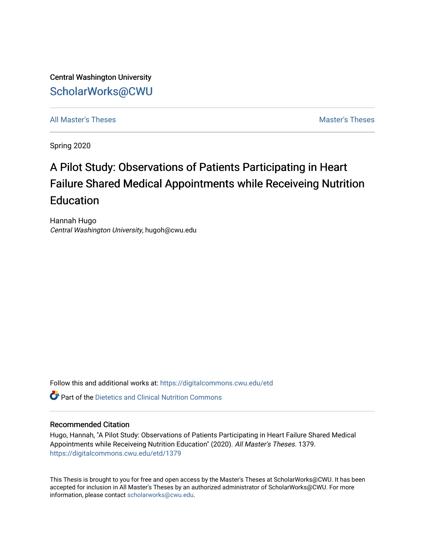Central Washington University [ScholarWorks@CWU](https://digitalcommons.cwu.edu/) 

[All Master's Theses](https://digitalcommons.cwu.edu/etd) and the set of the set of the set of the set of the set of the set of the set of the set of the set of the set of the set of the set of the set of the set of the set of the set of the set of the set of

Spring 2020

## A Pilot Study: Observations of Patients Participating in Heart Failure Shared Medical Appointments while Receiveing Nutrition **Education**

Hannah Hugo Central Washington University, hugoh@cwu.edu

Follow this and additional works at: [https://digitalcommons.cwu.edu/etd](https://digitalcommons.cwu.edu/etd?utm_source=digitalcommons.cwu.edu%2Fetd%2F1379&utm_medium=PDF&utm_campaign=PDFCoverPages) 

 $\bullet$  Part of the Dietetics and Clinical Nutrition Commons

#### Recommended Citation

Hugo, Hannah, "A Pilot Study: Observations of Patients Participating in Heart Failure Shared Medical Appointments while Receiveing Nutrition Education" (2020). All Master's Theses. 1379. [https://digitalcommons.cwu.edu/etd/1379](https://digitalcommons.cwu.edu/etd/1379?utm_source=digitalcommons.cwu.edu%2Fetd%2F1379&utm_medium=PDF&utm_campaign=PDFCoverPages)

This Thesis is brought to you for free and open access by the Master's Theses at ScholarWorks@CWU. It has been accepted for inclusion in All Master's Theses by an authorized administrator of ScholarWorks@CWU. For more information, please contact [scholarworks@cwu.edu.](mailto:scholarworks@cwu.edu)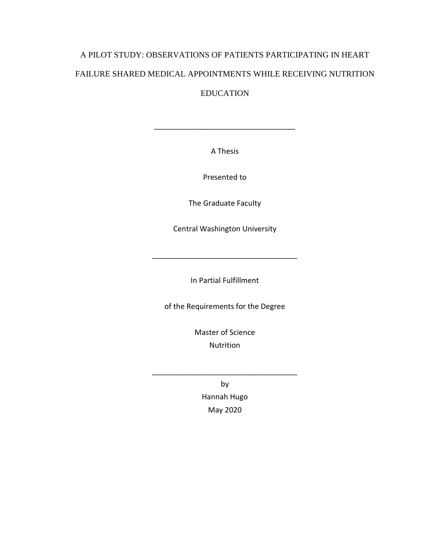# A PILOT STUDY: OBSERVATIONS OF PATIENTS PARTICIPATING IN HEART FAILURE SHARED MEDICAL APPOINTMENTS WHILE RECEIVING NUTRITION

EDUCATION

A Thesis

\_\_\_\_\_\_\_\_\_\_\_\_\_\_\_\_\_\_\_\_\_\_\_\_\_\_\_\_\_\_\_\_\_\_

Presented to

The Graduate Faculty

Central Washington University

In Partial Fulfillment

\_\_\_\_\_\_\_\_\_\_\_\_\_\_\_\_\_\_\_\_\_\_\_\_\_\_\_\_\_\_\_\_\_\_\_

of the Requirements for the Degree

Master of Science Nutrition

> by Hannah Hugo May 2020

\_\_\_\_\_\_\_\_\_\_\_\_\_\_\_\_\_\_\_\_\_\_\_\_\_\_\_\_\_\_\_\_\_\_\_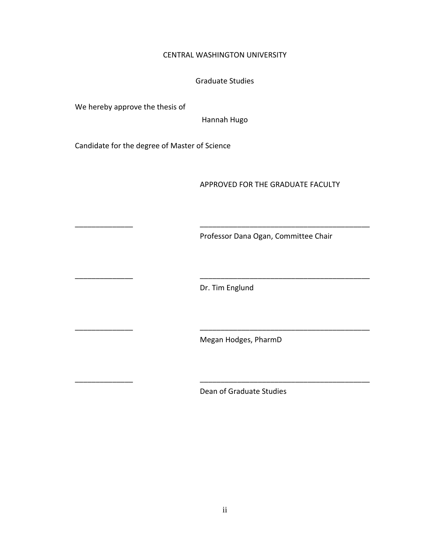#### CENTRAL WASHINGTON UNIVERSITY

#### Graduate Studies

We hereby approve the thesis of

Hannah Hugo

Candidate for the degree of Master of Science

#### APPROVED FOR THE GRADUATE FACULTY

Professor Dana Ogan, Committee Chair

Dr. Tim Englund

\_\_\_\_\_\_\_\_\_\_\_\_\_\_ \_\_\_\_\_\_\_\_\_\_\_\_\_\_\_\_\_\_\_\_\_\_\_\_\_\_\_\_\_\_\_\_\_\_\_\_\_\_\_\_\_

\_\_\_\_\_\_\_\_\_\_\_\_\_\_ \_\_\_\_\_\_\_\_\_\_\_\_\_\_\_\_\_\_\_\_\_\_\_\_\_\_\_\_\_\_\_\_\_\_\_\_\_\_\_\_\_

\_\_\_\_\_\_\_\_\_\_\_\_\_\_ \_\_\_\_\_\_\_\_\_\_\_\_\_\_\_\_\_\_\_\_\_\_\_\_\_\_\_\_\_\_\_\_\_\_\_\_\_\_\_\_\_

\_\_\_\_\_\_\_\_\_\_\_\_\_\_ \_\_\_\_\_\_\_\_\_\_\_\_\_\_\_\_\_\_\_\_\_\_\_\_\_\_\_\_\_\_\_\_\_\_\_\_\_\_\_\_\_

Megan Hodges, PharmD

Dean of Graduate Studies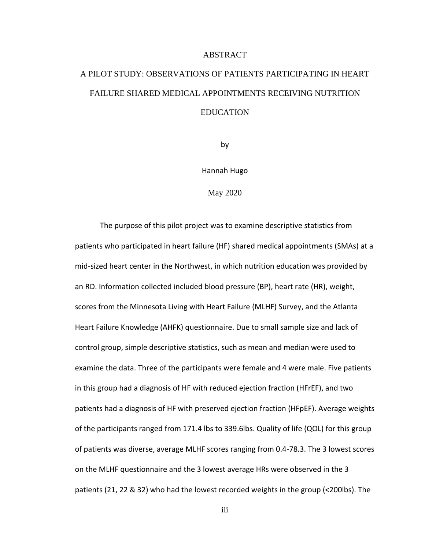#### ABSTRACT

## A PILOT STUDY: OBSERVATIONS OF PATIENTS PARTICIPATING IN HEART FAILURE SHARED MEDICAL APPOINTMENTS RECEIVING NUTRITION **EDUCATION**

by

Hannah Hugo

May 2020

The purpose of this pilot project was to examine descriptive statistics from patients who participated in heart failure (HF) shared medical appointments (SMAs) at a mid-sized heart center in the Northwest, in which nutrition education was provided by an RD. Information collected included blood pressure (BP), heart rate (HR), weight, scores from the Minnesota Living with Heart Failure (MLHF) Survey, and the Atlanta Heart Failure Knowledge (AHFK) questionnaire. Due to small sample size and lack of control group, simple descriptive statistics, such as mean and median were used to examine the data. Three of the participants were female and 4 were male. Five patients in this group had a diagnosis of HF with reduced ejection fraction (HFrEF), and two patients had a diagnosis of HF with preserved ejection fraction (HFpEF). Average weights of the participants ranged from 171.4 lbs to 339.6lbs. Quality of life (QOL) for this group of patients was diverse, average MLHF scores ranging from 0.4-78.3. The 3 lowest scores on the MLHF questionnaire and the 3 lowest average HRs were observed in the 3 patients (21, 22 & 32) who had the lowest recorded weights in the group (<200lbs). The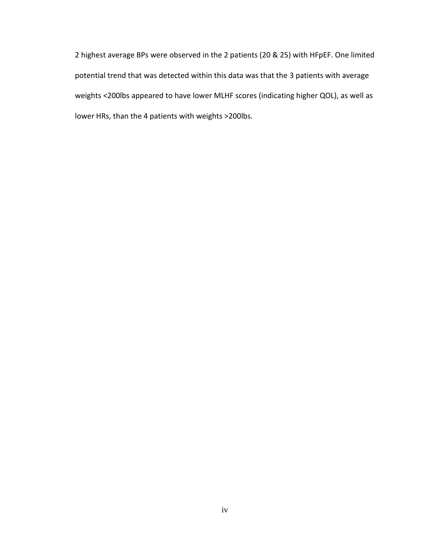2 highest average BPs were observed in the 2 patients (20 & 25) with HFpEF. One limited potential trend that was detected within this data was that the 3 patients with average weights <200lbs appeared to have lower MLHF scores (indicating higher QOL), as well as lower HRs, than the 4 patients with weights >200lbs.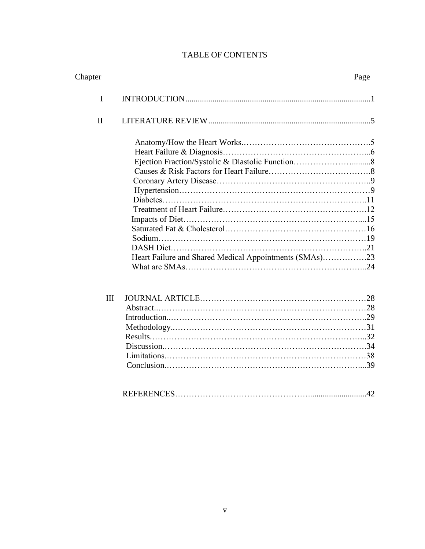## TABLE OF CONTENTS

| Chapter      |                                                        | Page |
|--------------|--------------------------------------------------------|------|
| I            |                                                        |      |
| $\mathbf{I}$ |                                                        |      |
|              |                                                        |      |
|              |                                                        |      |
|              |                                                        |      |
|              |                                                        |      |
|              |                                                        |      |
|              |                                                        |      |
|              |                                                        |      |
|              |                                                        |      |
|              |                                                        |      |
|              |                                                        |      |
|              |                                                        |      |
|              |                                                        |      |
|              | Heart Failure and Shared Medical Appointments (SMAs)23 |      |
|              |                                                        |      |
| III          |                                                        |      |
|              |                                                        |      |
|              |                                                        |      |
|              |                                                        |      |
|              |                                                        |      |
|              |                                                        |      |
|              |                                                        |      |
|              |                                                        |      |
|              |                                                        |      |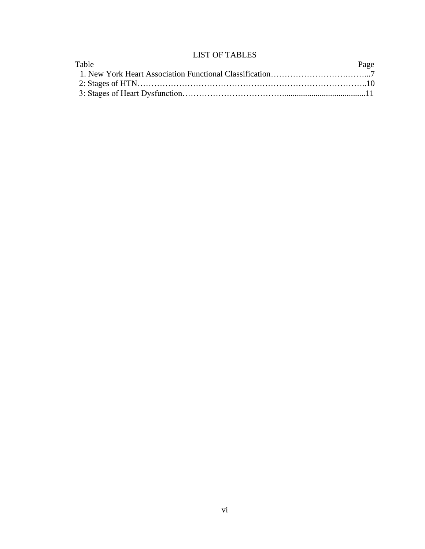## LIST OF TABLES

| Table | Page |
|-------|------|
|       |      |
|       |      |
|       |      |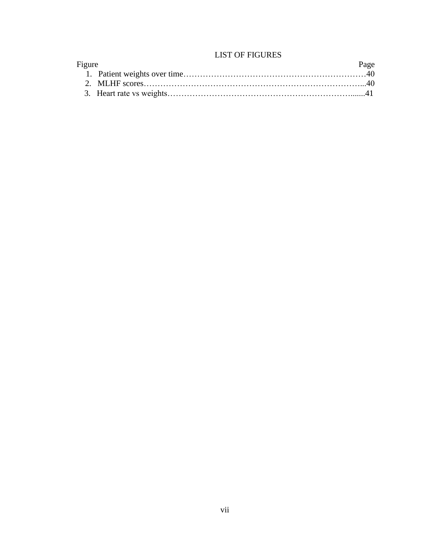## LIST OF FIGURES

| Figure | Page |
|--------|------|
|        |      |
|        |      |
|        |      |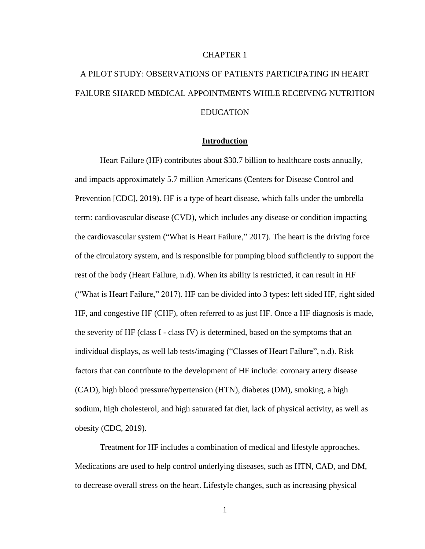#### CHAPTER 1

## A PILOT STUDY: OBSERVATIONS OF PATIENTS PARTICIPATING IN HEART FAILURE SHARED MEDICAL APPOINTMENTS WHILE RECEIVING NUTRITION EDUCATION

#### **Introduction**

Heart Failure (HF) contributes about \$30.7 billion to healthcare costs annually, and impacts approximately 5.7 million Americans (Centers for Disease Control and Prevention [CDC], 2019). HF is a type of heart disease, which falls under the umbrella term: cardiovascular disease (CVD), which includes any disease or condition impacting the cardiovascular system ("What is Heart Failure," 2017). The heart is the driving force of the circulatory system, and is responsible for pumping blood sufficiently to support the rest of the body (Heart Failure, n.d). When its ability is restricted, it can result in HF ("What is Heart Failure," 2017). HF can be divided into 3 types: left sided HF, right sided HF, and congestive HF (CHF), often referred to as just HF. Once a HF diagnosis is made, the severity of HF (class I - class IV) is determined, based on the symptoms that an individual displays, as well lab tests/imaging ("Classes of Heart Failure", n.d). Risk factors that can contribute to the development of HF include: coronary artery disease (CAD), high blood pressure/hypertension (HTN), diabetes (DM), smoking, a high sodium, high cholesterol, and high saturated fat diet, lack of physical activity, as well as obesity (CDC, 2019).

Treatment for HF includes a combination of medical and lifestyle approaches. Medications are used to help control underlying diseases, such as HTN, CAD, and DM, to decrease overall stress on the heart. Lifestyle changes, such as increasing physical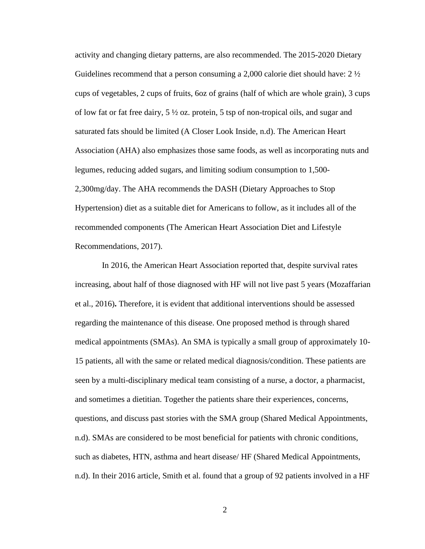activity and changing dietary patterns, are also recommended. The 2015-2020 Dietary Guidelines recommend that a person consuming a 2,000 calorie diet should have:  $2 \frac{1}{2}$ cups of vegetables, 2 cups of fruits, 6oz of grains (half of which are whole grain), 3 cups of low fat or fat free dairy, 5 ½ oz. protein, 5 tsp of non-tropical oils, and sugar and saturated fats should be limited (A Closer Look Inside, n.d). The American Heart Association (AHA) also emphasizes those same foods, as well as incorporating nuts and legumes, reducing added sugars, and limiting sodium consumption to 1,500- 2,300mg/day. The AHA recommends the DASH (Dietary Approaches to Stop Hypertension) diet as a suitable diet for Americans to follow, as it includes all of the recommended components (The American Heart Association Diet and Lifestyle Recommendations, 2017).

In 2016, the American Heart Association reported that, despite survival rates increasing, about half of those diagnosed with HF will not live past 5 years (Mozaffarian et al., 2016)**.** Therefore, it is evident that additional interventions should be assessed regarding the maintenance of this disease. One proposed method is through shared medical appointments (SMAs). An SMA is typically a small group of approximately 10- 15 patients, all with the same or related medical diagnosis/condition. These patients are seen by a multi-disciplinary medical team consisting of a nurse, a doctor, a pharmacist, and sometimes a dietitian. Together the patients share their experiences, concerns, questions, and discuss past stories with the SMA group (Shared Medical Appointments, n.d). SMAs are considered to be most beneficial for patients with chronic conditions, such as diabetes, HTN, asthma and heart disease/ HF (Shared Medical Appointments, n.d). In their 2016 article, Smith et al. found that a group of 92 patients involved in a HF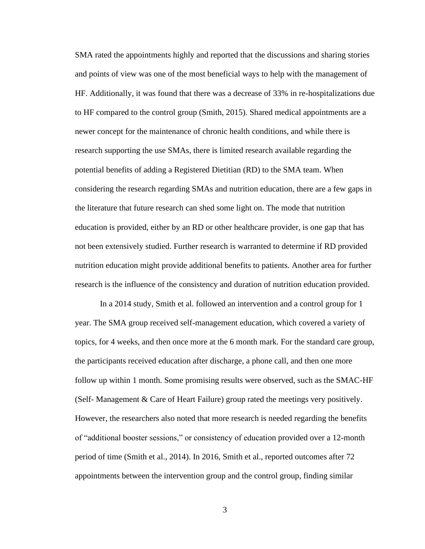SMA rated the appointments highly and reported that the discussions and sharing stories and points of view was one of the most beneficial ways to help with the management of HF. Additionally, it was found that there was a decrease of 33% in re-hospitalizations due to HF compared to the control group (Smith, 2015). Shared medical appointments are a newer concept for the maintenance of chronic health conditions, and while there is research supporting the use SMAs, there is limited research available regarding the potential benefits of adding a Registered Dietitian (RD) to the SMA team. When considering the research regarding SMAs and nutrition education, there are a few gaps in the literature that future research can shed some light on. The mode that nutrition education is provided, either by an RD or other healthcare provider, is one gap that has not been extensively studied. Further research is warranted to determine if RD provided nutrition education might provide additional benefits to patients. Another area for further research is the influence of the consistency and duration of nutrition education provided.

In a 2014 study, Smith et al. followed an intervention and a control group for 1 year. The SMA group received self-management education, which covered a variety of topics, for 4 weeks, and then once more at the 6 month mark. For the standard care group, the participants received education after discharge, a phone call, and then one more follow up within 1 month. Some promising results were observed, such as the SMAC-HF (Self- Management & Care of Heart Failure) group rated the meetings very positively. However, the researchers also noted that more research is needed regarding the benefits of "additional booster sessions," or consistency of education provided over a 12-month period of time (Smith et al., 2014). In 2016, Smith et al., reported outcomes after 72 appointments between the intervention group and the control group, finding similar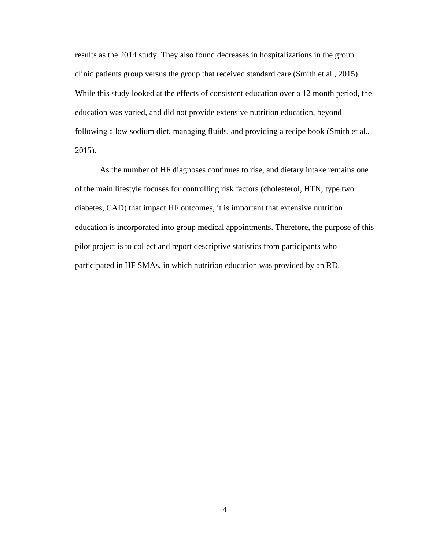results as the 2014 study. They also found decreases in hospitalizations in the group clinic patients group versus the group that received standard care (Smith et al., 2015). While this study looked at the effects of consistent education over a 12 month period, the education was varied, and did not provide extensive nutrition education, beyond following a low sodium diet, managing fluids, and providing a recipe book (Smith et al., 2015).

As the number of HF diagnoses continues to rise, and dietary intake remains one of the main lifestyle focuses for controlling risk factors (cholesterol, HTN, type two diabetes, CAD) that impact HF outcomes, it is important that extensive nutrition education is incorporated into group medical appointments. Therefore, the purpose of this pilot project is to collect and report descriptive statistics from participants who participated in HF SMAs, in which nutrition education was provided by an RD.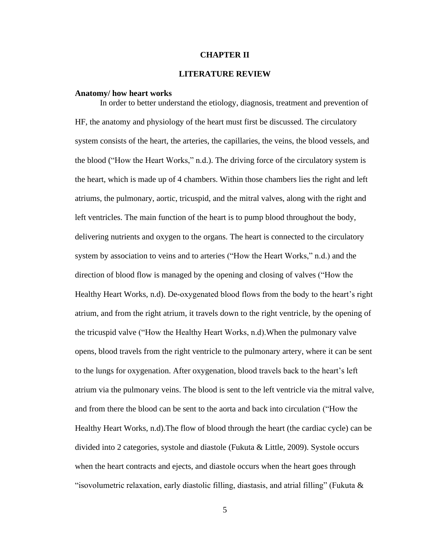#### **CHAPTER II**

#### **LITERATURE REVIEW**

#### **Anatomy/ how heart works**

In order to better understand the etiology, diagnosis, treatment and prevention of HF, the anatomy and physiology of the heart must first be discussed. The circulatory system consists of the heart, the arteries, the capillaries, the veins, the blood vessels, and the blood ("How the Heart Works," n.d.). The driving force of the circulatory system is the heart, which is made up of 4 chambers. Within those chambers lies the right and left atriums, the pulmonary, aortic, tricuspid, and the mitral valves, along with the right and left ventricles. The main function of the heart is to pump blood throughout the body, delivering nutrients and oxygen to the organs. The heart is connected to the circulatory system by association to veins and to arteries ("How the Heart Works," n.d.) and the direction of blood flow is managed by the opening and closing of valves ("How the Healthy Heart Works, n.d). De-oxygenated blood flows from the body to the heart's right atrium, and from the right atrium, it travels down to the right ventricle, by the opening of the tricuspid valve ("How the Healthy Heart Works, n.d).When the pulmonary valve opens, blood travels from the right ventricle to the pulmonary artery, where it can be sent to the lungs for oxygenation. After oxygenation, blood travels back to the heart's left atrium via the pulmonary veins. The blood is sent to the left ventricle via the mitral valve, and from there the blood can be sent to the aorta and back into circulation ("How the Healthy Heart Works, n.d).The flow of blood through the heart (the cardiac cycle) can be divided into 2 categories, systole and diastole (Fukuta & Little, 2009). Systole occurs when the heart contracts and ejects, and diastole occurs when the heart goes through "isovolumetric relaxation, early diastolic filling, diastasis, and atrial filling" (Fukuta  $\&$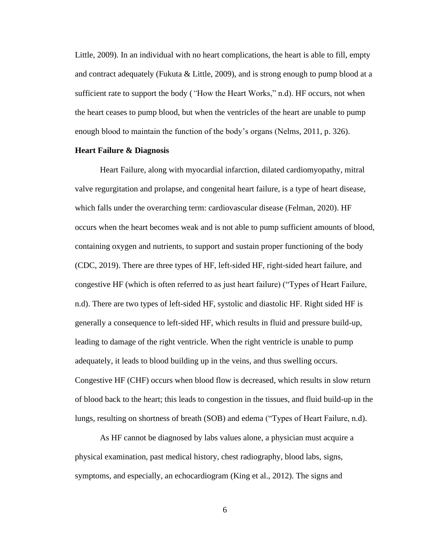Little, 2009). In an individual with no heart complications, the heart is able to fill, empty and contract adequately (Fukuta  $& Little, 2009$ ), and is strong enough to pump blood at a sufficient rate to support the body (*"*How the Heart Works," n.d). HF occurs, not when the heart ceases to pump blood, but when the ventricles of the heart are unable to pump enough blood to maintain the function of the body's organs (Nelms, 2011, p. 326).

#### **Heart Failure & Diagnosis**

Heart Failure, along with myocardial infarction, dilated cardiomyopathy, mitral valve regurgitation and prolapse, and congenital heart failure, is a type of heart disease, which falls under the overarching term: cardiovascular disease (Felman, 2020). HF occurs when the heart becomes weak and is not able to pump sufficient amounts of blood, containing oxygen and nutrients, to support and sustain proper functioning of the body (CDC, 2019). There are three types of HF, left-sided HF, right-sided heart failure, and congestive HF (which is often referred to as just heart failure) ("Types of Heart Failure, n.d). There are two types of left-sided HF, systolic and diastolic HF. Right sided HF is generally a consequence to left-sided HF, which results in fluid and pressure build-up, leading to damage of the right ventricle. When the right ventricle is unable to pump adequately, it leads to blood building up in the veins, and thus swelling occurs. Congestive HF (CHF) occurs when blood flow is decreased, which results in slow return of blood back to the heart; this leads to congestion in the tissues, and fluid build-up in the lungs, resulting on shortness of breath (SOB) and edema ("Types of Heart Failure, n.d).

As HF cannot be diagnosed by labs values alone, a physician must acquire a physical examination, past medical history, chest radiography, blood labs, signs, symptoms, and especially, an echocardiogram (King et al., 2012). The signs and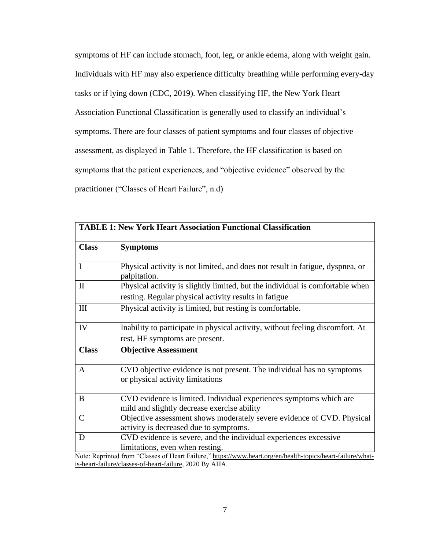symptoms of HF can include stomach, foot, leg, or ankle edema, along with weight gain. Individuals with HF may also experience difficulty breathing while performing every-day tasks or if lying down (CDC, 2019). When classifying HF, the New York Heart Association Functional Classification is generally used to classify an individual's symptoms. There are four classes of patient symptoms and four classes of objective assessment, as displayed in Table 1. Therefore, the HF classification is based on symptoms that the patient experiences, and "objective evidence" observed by the practitioner ("Classes of Heart Failure", n.d)

| <b>Class</b> | <b>Symptoms</b>                                                                                                                        |
|--------------|----------------------------------------------------------------------------------------------------------------------------------------|
| $\mathbf{I}$ | Physical activity is not limited, and does not result in fatigue, dyspnea, or<br>palpitation.                                          |
| $\mathbf{I}$ | Physical activity is slightly limited, but the individual is comfortable when<br>resting. Regular physical activity results in fatigue |
| $\rm III$    | Physical activity is limited, but resting is comfortable.                                                                              |
| IV           | Inability to participate in physical activity, without feeling discomfort. At<br>rest, HF symptoms are present.                        |
| <b>Class</b> | <b>Objective Assessment</b>                                                                                                            |
| $\mathsf{A}$ | CVD objective evidence is not present. The individual has no symptoms<br>or physical activity limitations                              |
| B            | CVD evidence is limited. Individual experiences symptoms which are<br>mild and slightly decrease exercise ability                      |
| $\mathbf C$  | Objective assessment shows moderately severe evidence of CVD. Physical<br>activity is decreased due to symptoms.                       |
| D            | CVD evidence is severe, and the individual experiences excessive                                                                       |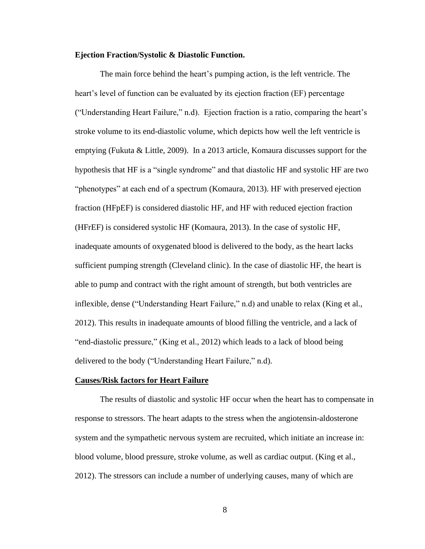#### **Ejection Fraction/Systolic & Diastolic Function.**

The main force behind the heart's pumping action, is the left ventricle. The heart's level of function can be evaluated by its ejection fraction (EF) percentage ("Understanding Heart Failure," n.d). Ejection fraction is a ratio, comparing the heart's stroke volume to its end-diastolic volume, which depicts how well the left ventricle is emptying (Fukuta & Little, 2009). In a 2013 article, Komaura discusses support for the hypothesis that HF is a "single syndrome" and that diastolic HF and systolic HF are two "phenotypes" at each end of a spectrum (Komaura, 2013). HF with preserved ejection fraction (HFpEF) is considered diastolic HF, and HF with reduced ejection fraction (HFrEF) is considered systolic HF (Komaura, 2013). In the case of systolic HF, inadequate amounts of oxygenated blood is delivered to the body, as the heart lacks sufficient pumping strength (Cleveland clinic). In the case of diastolic HF, the heart is able to pump and contract with the right amount of strength, but both ventricles are inflexible, dense ("Understanding Heart Failure," n.d) and unable to relax (King et al., 2012). This results in inadequate amounts of blood filling the ventricle, and a lack of "end-diastolic pressure," (King et al., 2012) which leads to a lack of blood being delivered to the body ("Understanding Heart Failure," n.d).

#### **Causes/Risk factors for Heart Failure**

The results of diastolic and systolic HF occur when the heart has to compensate in response to stressors. The heart adapts to the stress when the angiotensin-aldosterone system and the sympathetic nervous system are recruited, which initiate an increase in: blood volume, blood pressure, stroke volume, as well as cardiac output. (King et al., 2012). The stressors can include a number of underlying causes, many of which are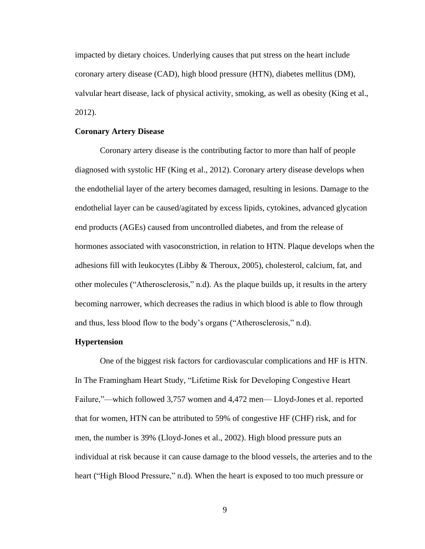impacted by dietary choices. Underlying causes that put stress on the heart include coronary artery disease (CAD), high blood pressure (HTN), diabetes mellitus (DM), valvular heart disease, lack of physical activity, smoking, as well as obesity (King et al., 2012).

#### **Coronary Artery Disease**

Coronary artery disease is the contributing factor to more than half of people diagnosed with systolic HF (King et al., 2012). Coronary artery disease develops when the endothelial layer of the artery becomes damaged, resulting in lesions. Damage to the endothelial layer can be caused/agitated by excess lipids, cytokines, advanced glycation end products (AGEs) caused from uncontrolled diabetes, and from the release of hormones associated with vasoconstriction, in relation to HTN. Plaque develops when the adhesions fill with leukocytes (Libby & Theroux, 2005), cholesterol, calcium, fat, and other molecules ("Atherosclerosis," n.d). As the plaque builds up, it results in the artery becoming narrower, which decreases the radius in which blood is able to flow through and thus, less blood flow to the body's organs ("Atherosclerosis," n.d).

#### **Hypertension**

One of the biggest risk factors for cardiovascular complications and HF is HTN. In The Framingham Heart Study, "Lifetime Risk for Developing Congestive Heart Failure,"—which followed 3,757 women and 4,472 men— Lloyd-Jones et al. reported that for women, HTN can be attributed to 59% of congestive HF (CHF) risk, and for men, the number is 39% (Lloyd-Jones et al., 2002). High blood pressure puts an individual at risk because it can cause damage to the blood vessels, the arteries and to the heart ("High Blood Pressure," n.d). When the heart is exposed to too much pressure or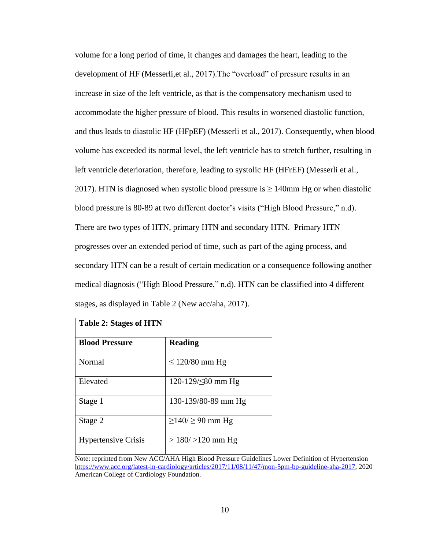volume for a long period of time, it changes and damages the heart, leading to the development of HF (Messerli,et al., 2017).The "overload" of pressure results in an increase in size of the left ventricle, as that is the compensatory mechanism used to accommodate the higher pressure of blood. This results in worsened diastolic function, and thus leads to diastolic HF (HFpEF) (Messerli et al., 2017). Consequently, when blood volume has exceeded its normal level, the left ventricle has to stretch further, resulting in left ventricle deterioration, therefore, leading to systolic HF (HFrEF) (Messerli et al., 2017). HTN is diagnosed when systolic blood pressure is  $\geq$  140mm Hg or when diastolic blood pressure is 80-89 at two different doctor's visits ("High Blood Pressure," n.d). There are two types of HTN, primary HTN and secondary HTN. Primary HTN progresses over an extended period of time, such as part of the aging process, and secondary HTN can be a result of certain medication or a consequence following another medical diagnosis ("High Blood Pressure," n.d). HTN can be classified into 4 different stages, as displayed in Table 2 (New acc/aha, 2017).

| <b>Table 2: Stages of HTN</b> |                             |  |
|-------------------------------|-----------------------------|--|
| <b>Blood Pressure</b>         | <b>Reading</b>              |  |
| Normal                        | $\leq$ 120/80 mm Hg         |  |
| Elevated                      | 120-129/≤80 mm Hg           |  |
| Stage 1                       | 130-139/80-89 mm Hg         |  |
| Stage 2                       | $\geq$ 140/ $\geq$ 90 mm Hg |  |
| <b>Hypertensive Crisis</b>    | $>180/$ >120 mm Hg          |  |

Note: reprinted from New ACC/AHA High Blood Pressure Guidelines Lower Definition of Hypertension [https://www.acc.org/latest-in-cardiology/articles/2017/11/08/11/47/mon-5pm-bp-guideline-aha-2017,](https://www.acc.org/latest-in-cardiology/articles/2017/11/08/11/47/mon-5pm-bp-guideline-aha-2017) 2020 American College of Cardiology Foundation.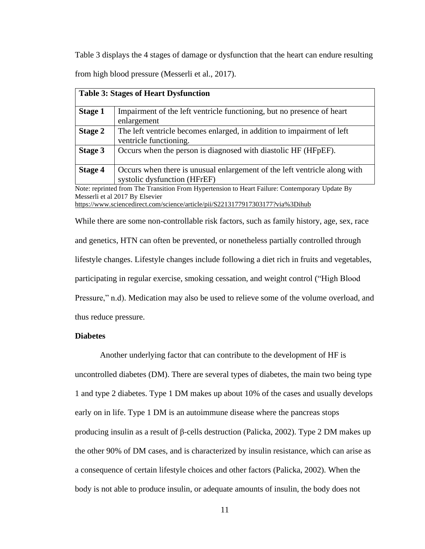Table 3 displays the 4 stages of damage or dysfunction that the heart can endure resulting from high blood pressure (Messerli et al., 2017).

| <b>Table 3: Stages of Heart Dysfunction</b> |                                                                                                           |  |  |  |
|---------------------------------------------|-----------------------------------------------------------------------------------------------------------|--|--|--|
| <b>Stage 1</b>                              | Impairment of the left ventricle functioning, but no presence of heart<br>enlargement                     |  |  |  |
| <b>Stage 2</b>                              | The left ventricle becomes enlarged, in addition to impairment of left<br>ventricle functioning.          |  |  |  |
| Stage 3                                     | Occurs when the person is diagnosed with diastolic HF (HFpEF).                                            |  |  |  |
| Stage 4                                     | Occurs when there is unusual enlargement of the left ventricle along with<br>systolic dysfunction (HFrEF) |  |  |  |
|                                             | Note: reprinted from The Transition From Hypertension to Heart Failure: Contemporary Update By            |  |  |  |
|                                             | Messerli et al 2017 By Elsevier                                                                           |  |  |  |
|                                             |                                                                                                           |  |  |  |

<https://www.sciencedirect.com/science/article/pii/S2213177917303177?via%3Dihub>

While there are some non-controllable risk factors, such as family history, age, sex, race and genetics, HTN can often be prevented, or nonetheless partially controlled through lifestyle changes. Lifestyle changes include following a diet rich in fruits and vegetables, participating in regular exercise, smoking cessation, and weight control ("High Blood Pressure," n.d). Medication may also be used to relieve some of the volume overload, and thus reduce pressure.

#### **Diabetes**

Another underlying factor that can contribute to the development of HF is uncontrolled diabetes (DM). There are several types of diabetes, the main two being type 1 and type 2 diabetes. Type 1 DM makes up about 10% of the cases and usually develops early on in life. Type 1 DM is an autoimmune disease where the pancreas stops producing insulin as a result of β-cells destruction (Palicka, 2002). Type 2 DM makes up the other 90% of DM cases, and is characterized by insulin resistance, which can arise as a consequence of certain lifestyle choices and other factors (Palicka, 2002). When the body is not able to produce insulin, or adequate amounts of insulin, the body does not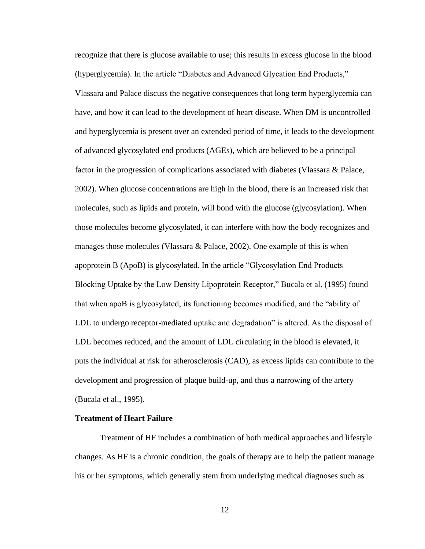recognize that there is glucose available to use; this results in excess glucose in the blood (hyperglycemia). In the article "Diabetes and Advanced Glycation End Products," Vlassara and Palace discuss the negative consequences that long term hyperglycemia can have, and how it can lead to the development of heart disease. When DM is uncontrolled and hyperglycemia is present over an extended period of time, it leads to the development of advanced glycosylated end products (AGEs), which are believed to be a principal factor in the progression of complications associated with diabetes (Vlassara & Palace, 2002). When glucose concentrations are high in the blood, there is an increased risk that molecules, such as lipids and protein, will bond with the glucose (glycosylation). When those molecules become glycosylated, it can interfere with how the body recognizes and manages those molecules (Vlassara & Palace, 2002). One example of this is when apoprotein B (ApoB) is glycosylated. In the article "Glycosylation End Products Blocking Uptake by the Low Density Lipoprotein Receptor," Bucala et al. (1995) found that when apoB is glycosylated, its functioning becomes modified, and the "ability of LDL to undergo receptor-mediated uptake and degradation" is altered. As the disposal of LDL becomes reduced, and the amount of LDL circulating in the blood is elevated, it puts the individual at risk for atherosclerosis (CAD), as excess lipids can contribute to the development and progression of plaque build-up, and thus a narrowing of the artery (Bucala et al., 1995).

#### **Treatment of Heart Failure**

Treatment of HF includes a combination of both medical approaches and lifestyle changes. As HF is a chronic condition, the goals of therapy are to help the patient manage his or her symptoms, which generally stem from underlying medical diagnoses such as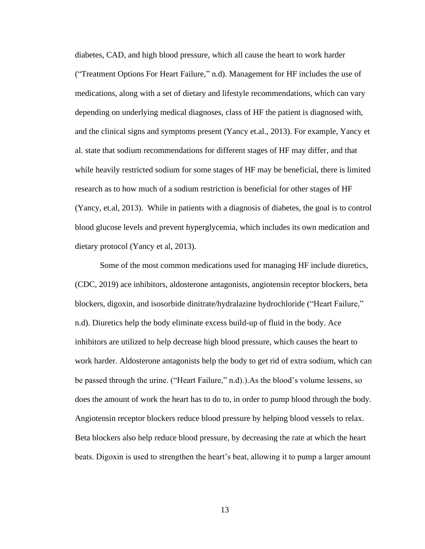diabetes, CAD, and high blood pressure, which all cause the heart to work harder ("Treatment Options For Heart Failure," n.d). Management for HF includes the use of medications, along with a set of dietary and lifestyle recommendations, which can vary depending on underlying medical diagnoses, class of HF the patient is diagnosed with, and the clinical signs and symptoms present (Yancy et.al., 2013). For example, Yancy et al. state that sodium recommendations for different stages of HF may differ, and that while heavily restricted sodium for some stages of HF may be beneficial, there is limited research as to how much of a sodium restriction is beneficial for other stages of HF (Yancy, et.al, 2013). While in patients with a diagnosis of diabetes, the goal is to control blood glucose levels and prevent hyperglycemia, which includes its own medication and dietary protocol (Yancy et al, 2013).

Some of the most common medications used for managing HF include diuretics, (CDC, 2019) ace inhibitors, aldosterone antagonists, angiotensin receptor blockers, beta blockers, digoxin, and isosorbide dinitrate/hydralazine hydrochloride ("Heart Failure," n.d). Diuretics help the body eliminate excess build-up of fluid in the body. Ace inhibitors are utilized to help decrease high blood pressure, which causes the heart to work harder. Aldosterone antagonists help the body to get rid of extra sodium, which can be passed through the urine. ("Heart Failure," n.d).).As the blood's volume lessens, so does the amount of work the heart has to do to, in order to pump blood through the body. Angiotensin receptor blockers reduce blood pressure by helping blood vessels to relax. Beta blockers also help reduce blood pressure, by decreasing the rate at which the heart beats. Digoxin is used to strengthen the heart's beat, allowing it to pump a larger amount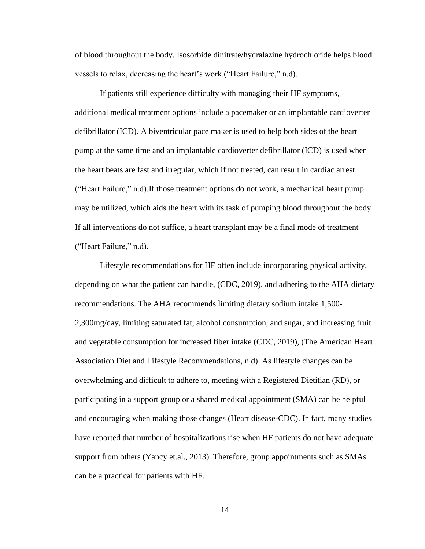of blood throughout the body. Isosorbide dinitrate/hydralazine hydrochloride helps blood vessels to relax, decreasing the heart's work ("Heart Failure," n.d).

If patients still experience difficulty with managing their HF symptoms, additional medical treatment options include a pacemaker or an implantable cardioverter defibrillator (ICD). A biventricular pace maker is used to help both sides of the heart pump at the same time and an implantable cardioverter defibrillator (ICD) is used when the heart beats are fast and irregular, which if not treated, can result in cardiac arrest ("Heart Failure," n.d).If those treatment options do not work, a mechanical heart pump may be utilized, which aids the heart with its task of pumping blood throughout the body. If all interventions do not suffice, a heart transplant may be a final mode of treatment ("Heart Failure," n.d).

Lifestyle recommendations for HF often include incorporating physical activity, depending on what the patient can handle, (CDC, 2019), and adhering to the AHA dietary recommendations. The AHA recommends limiting dietary sodium intake 1,500- 2,300mg/day, limiting saturated fat, alcohol consumption, and sugar, and increasing fruit and vegetable consumption for increased fiber intake (CDC, 2019), (The American Heart Association Diet and Lifestyle Recommendations, n.d). As lifestyle changes can be overwhelming and difficult to adhere to, meeting with a Registered Dietitian (RD), or participating in a support group or a shared medical appointment (SMA) can be helpful and encouraging when making those changes (Heart disease-CDC). In fact, many studies have reported that number of hospitalizations rise when HF patients do not have adequate support from others (Yancy et.al., 2013). Therefore, group appointments such as SMAs can be a practical for patients with HF.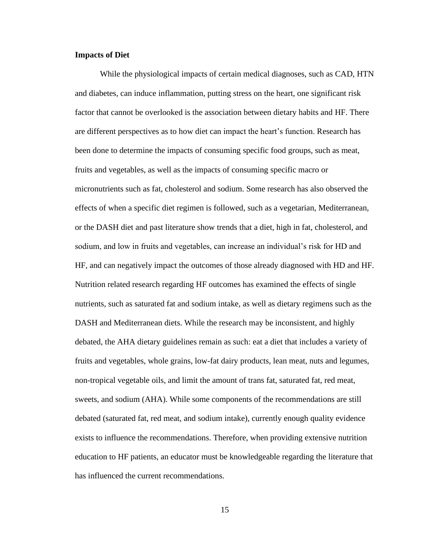#### **Impacts of Diet**

While the physiological impacts of certain medical diagnoses, such as CAD, HTN and diabetes, can induce inflammation, putting stress on the heart, one significant risk factor that cannot be overlooked is the association between dietary habits and HF. There are different perspectives as to how diet can impact the heart's function. Research has been done to determine the impacts of consuming specific food groups, such as meat, fruits and vegetables, as well as the impacts of consuming specific macro or micronutrients such as fat, cholesterol and sodium. Some research has also observed the effects of when a specific diet regimen is followed, such as a vegetarian, Mediterranean, or the DASH diet and past literature show trends that a diet, high in fat, cholesterol, and sodium, and low in fruits and vegetables, can increase an individual's risk for HD and HF, and can negatively impact the outcomes of those already diagnosed with HD and HF. Nutrition related research regarding HF outcomes has examined the effects of single nutrients, such as saturated fat and sodium intake, as well as dietary regimens such as the DASH and Mediterranean diets. While the research may be inconsistent, and highly debated, the AHA dietary guidelines remain as such: eat a diet that includes a variety of fruits and vegetables, whole grains, low-fat dairy products, lean meat, nuts and legumes, non-tropical vegetable oils, and limit the amount of trans fat, saturated fat, red meat, sweets, and sodium (AHA). While some components of the recommendations are still debated (saturated fat, red meat, and sodium intake), currently enough quality evidence exists to influence the recommendations. Therefore, when providing extensive nutrition education to HF patients, an educator must be knowledgeable regarding the literature that has influenced the current recommendations.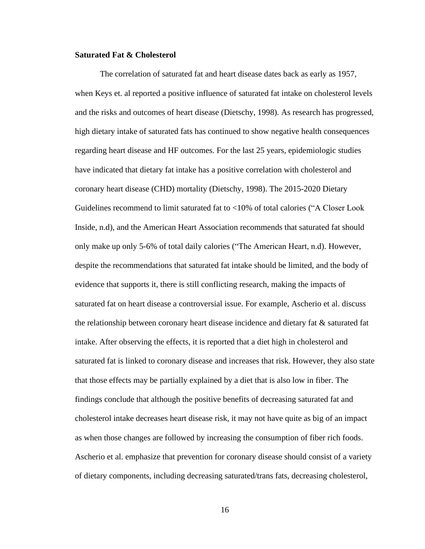#### **Saturated Fat & Cholesterol**

The correlation of saturated fat and heart disease dates back as early as 1957, when Keys et. al reported a positive influence of saturated fat intake on cholesterol levels and the risks and outcomes of heart disease (Dietschy, 1998). As research has progressed, high dietary intake of saturated fats has continued to show negative health consequences regarding heart disease and HF outcomes. For the last 25 years, epidemiologic studies have indicated that dietary fat intake has a positive correlation with cholesterol and coronary heart disease (CHD) mortality (Dietschy, 1998). The 2015-2020 Dietary Guidelines recommend to limit saturated fat to <10% of total calories ("A Closer Look Inside, n.d), and the American Heart Association recommends that saturated fat should only make up only 5-6% of total daily calories ("The American Heart, n.d). However, despite the recommendations that saturated fat intake should be limited, and the body of evidence that supports it, there is still conflicting research, making the impacts of saturated fat on heart disease a controversial issue. For example, Ascherio et al. discuss the relationship between coronary heart disease incidence and dietary fat  $\&$  saturated fat intake. After observing the effects, it is reported that a diet high in cholesterol and saturated fat is linked to coronary disease and increases that risk. However, they also state that those effects may be partially explained by a diet that is also low in fiber. The findings conclude that although the positive benefits of decreasing saturated fat and cholesterol intake decreases heart disease risk, it may not have quite as big of an impact as when those changes are followed by increasing the consumption of fiber rich foods. Ascherio et al. emphasize that prevention for coronary disease should consist of a variety of dietary components, including decreasing saturated/trans fats, decreasing cholesterol,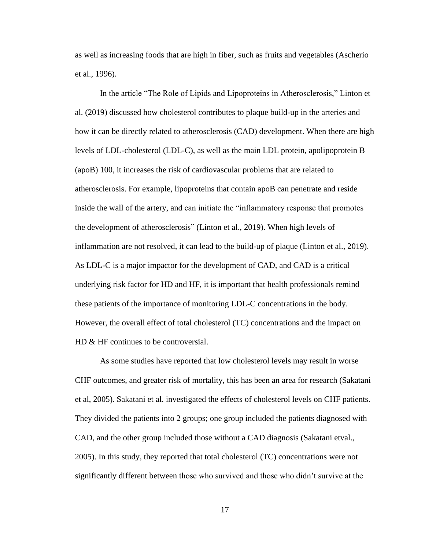as well as increasing foods that are high in fiber, such as fruits and vegetables (Ascherio et al., 1996).

In the article "The Role of Lipids and Lipoproteins in Atherosclerosis," Linton et al. (2019) discussed how cholesterol contributes to plaque build-up in the arteries and how it can be directly related to atherosclerosis (CAD) development. When there are high levels of LDL-cholesterol (LDL-C), as well as the main LDL protein, apolipoprotein B (apoB) 100, it increases the risk of cardiovascular problems that are related to atherosclerosis. For example, lipoproteins that contain apoB can penetrate and reside inside the wall of the artery, and can initiate the "inflammatory response that promotes the development of atherosclerosis" (Linton et al., 2019). When high levels of inflammation are not resolved, it can lead to the build-up of plaque (Linton et al., 2019). As LDL-C is a major impactor for the development of CAD, and CAD is a critical underlying risk factor for HD and HF, it is important that health professionals remind these patients of the importance of monitoring LDL-C concentrations in the body. However, the overall effect of total cholesterol (TC) concentrations and the impact on HD & HF continues to be controversial.

As some studies have reported that low cholesterol levels may result in worse CHF outcomes, and greater risk of mortality, this has been an area for research (Sakatani et al, 2005). Sakatani et al. investigated the effects of cholesterol levels on CHF patients. They divided the patients into 2 groups; one group included the patients diagnosed with CAD, and the other group included those without a CAD diagnosis (Sakatani etval., 2005). In this study, they reported that total cholesterol (TC) concentrations were not significantly different between those who survived and those who didn't survive at the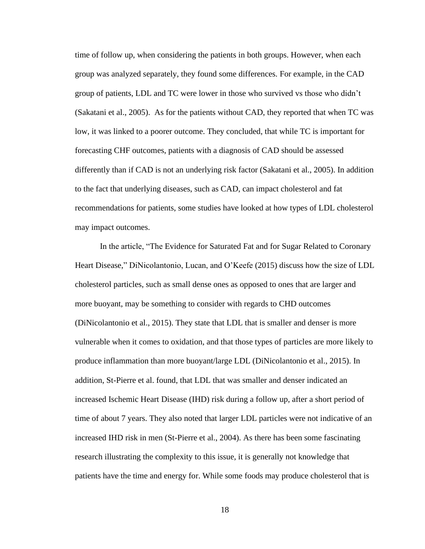time of follow up, when considering the patients in both groups. However, when each group was analyzed separately, they found some differences. For example, in the CAD group of patients, LDL and TC were lower in those who survived vs those who didn't (Sakatani et al., 2005). As for the patients without CAD, they reported that when TC was low, it was linked to a poorer outcome. They concluded, that while TC is important for forecasting CHF outcomes, patients with a diagnosis of CAD should be assessed differently than if CAD is not an underlying risk factor (Sakatani et al., 2005). In addition to the fact that underlying diseases, such as CAD, can impact cholesterol and fat recommendations for patients, some studies have looked at how types of LDL cholesterol may impact outcomes.

In the article, "The Evidence for Saturated Fat and for Sugar Related to Coronary Heart Disease," DiNicolantonio, Lucan, and O'Keefe (2015) discuss how the size of LDL cholesterol particles, such as small dense ones as opposed to ones that are larger and more buoyant, may be something to consider with regards to CHD outcomes (DiNicolantonio et al., 2015). They state that LDL that is smaller and denser is more vulnerable when it comes to oxidation, and that those types of particles are more likely to produce inflammation than more buoyant/large LDL (DiNicolantonio et al., 2015). In addition, St-Pierre et al. found, that LDL that was smaller and denser indicated an increased Ischemic Heart Disease (IHD) risk during a follow up, after a short period of time of about 7 years. They also noted that larger LDL particles were not indicative of an increased IHD risk in men (St-Pierre et al., 2004). As there has been some fascinating research illustrating the complexity to this issue, it is generally not knowledge that patients have the time and energy for. While some foods may produce cholesterol that is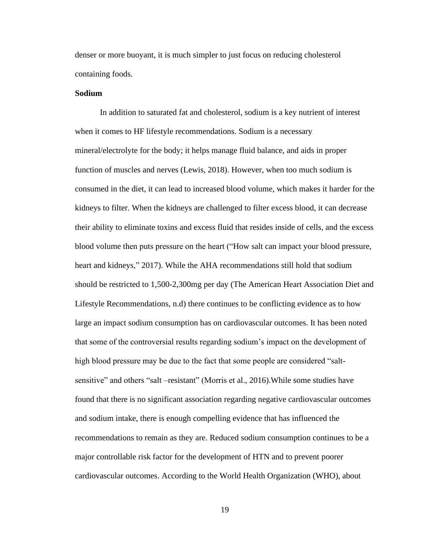denser or more buoyant, it is much simpler to just focus on reducing cholesterol containing foods.

#### **Sodium**

In addition to saturated fat and cholesterol, sodium is a key nutrient of interest when it comes to HF lifestyle recommendations. Sodium is a necessary mineral/electrolyte for the body; it helps manage fluid balance, and aids in proper function of muscles and nerves (Lewis, 2018). However, when too much sodium is consumed in the diet, it can lead to increased blood volume, which makes it harder for the kidneys to filter. When the kidneys are challenged to filter excess blood, it can decrease their ability to eliminate toxins and excess fluid that resides inside of cells, and the excess blood volume then puts pressure on the heart ("How salt can impact your blood pressure, heart and kidneys," 2017). While the AHA recommendations still hold that sodium should be restricted to 1,500-2,300mg per day (The American Heart Association Diet and Lifestyle Recommendations, n.d) there continues to be conflicting evidence as to how large an impact sodium consumption has on cardiovascular outcomes. It has been noted that some of the controversial results regarding sodium's impact on the development of high blood pressure may be due to the fact that some people are considered "saltsensitive" and others "salt –resistant" (Morris et al., 2016).While some studies have found that there is no significant association regarding negative cardiovascular outcomes and sodium intake, there is enough compelling evidence that has influenced the recommendations to remain as they are. Reduced sodium consumption continues to be a major controllable risk factor for the development of HTN and to prevent poorer cardiovascular outcomes. According to the World Health Organization (WHO), about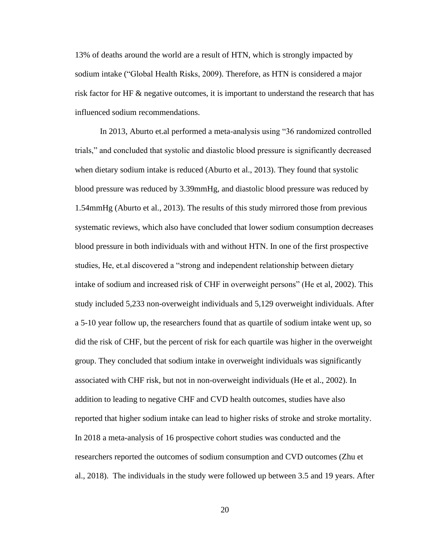13% of deaths around the world are a result of HTN, which is strongly impacted by sodium intake ("Global Health Risks, 2009). Therefore, as HTN is considered a major risk factor for HF & negative outcomes, it is important to understand the research that has influenced sodium recommendations.

In 2013, Aburto et.al performed a meta-analysis using "36 randomized controlled trials," and concluded that systolic and diastolic blood pressure is significantly decreased when dietary sodium intake is reduced (Aburto et al., 2013). They found that systolic blood pressure was reduced by 3.39mmHg, and diastolic blood pressure was reduced by 1.54mmHg (Aburto et al., 2013). The results of this study mirrored those from previous systematic reviews, which also have concluded that lower sodium consumption decreases blood pressure in both individuals with and without HTN. In one of the first prospective studies, He, et.al discovered a "strong and independent relationship between dietary intake of sodium and increased risk of CHF in overweight persons" (He et al, 2002). This study included 5,233 non-overweight individuals and 5,129 overweight individuals. After a 5-10 year follow up, the researchers found that as quartile of sodium intake went up, so did the risk of CHF, but the percent of risk for each quartile was higher in the overweight group. They concluded that sodium intake in overweight individuals was significantly associated with CHF risk, but not in non-overweight individuals (He et al., 2002). In addition to leading to negative CHF and CVD health outcomes, studies have also reported that higher sodium intake can lead to higher risks of stroke and stroke mortality. In 2018 a meta-analysis of 16 prospective cohort studies was conducted and the researchers reported the outcomes of sodium consumption and CVD outcomes (Zhu et al., 2018). The individuals in the study were followed up between 3.5 and 19 years. After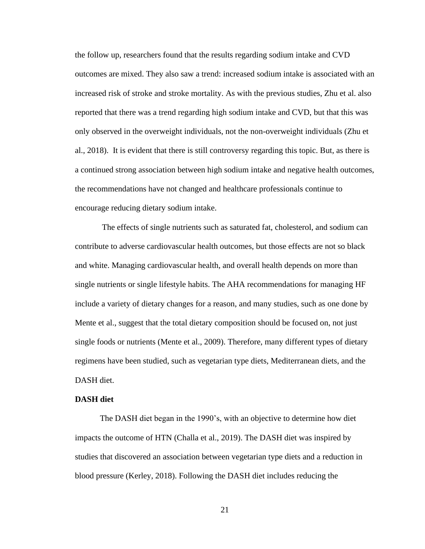the follow up, researchers found that the results regarding sodium intake and CVD outcomes are mixed. They also saw a trend: increased sodium intake is associated with an increased risk of stroke and stroke mortality. As with the previous studies, Zhu et al. also reported that there was a trend regarding high sodium intake and CVD, but that this was only observed in the overweight individuals, not the non-overweight individuals (Zhu et al., 2018). It is evident that there is still controversy regarding this topic. But, as there is a continued strong association between high sodium intake and negative health outcomes, the recommendations have not changed and healthcare professionals continue to encourage reducing dietary sodium intake.

The effects of single nutrients such as saturated fat, cholesterol, and sodium can contribute to adverse cardiovascular health outcomes, but those effects are not so black and white. Managing cardiovascular health, and overall health depends on more than single nutrients or single lifestyle habits. The AHA recommendations for managing HF include a variety of dietary changes for a reason, and many studies, such as one done by Mente et al., suggest that the total dietary composition should be focused on, not just single foods or nutrients (Mente et al., 2009). Therefore, many different types of dietary regimens have been studied, such as vegetarian type diets, Mediterranean diets, and the DASH diet.

#### **DASH diet**

The DASH diet began in the 1990's, with an objective to determine how diet impacts the outcome of HTN (Challa et al., 2019). The DASH diet was inspired by studies that discovered an association between vegetarian type diets and a reduction in blood pressure (Kerley, 2018). Following the DASH diet includes reducing the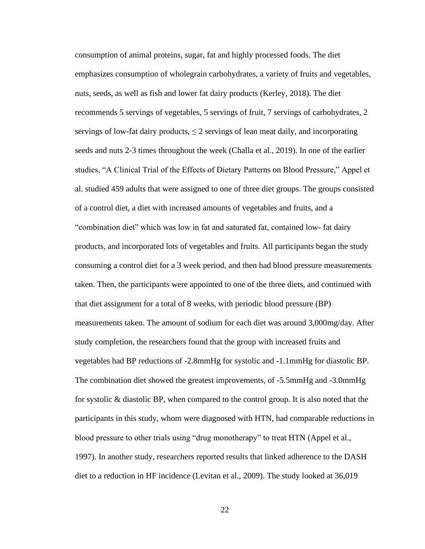consumption of animal proteins, sugar, fat and highly processed foods. The diet emphasizes consumption of wholegrain carbohydrates, a variety of fruits and vegetables, nuts, seeds, as well as fish and lower fat dairy products (Kerley, 2018). The diet recommends 5 servings of vegetables, 5 servings of fruit, 7 servings of carbohydrates, 2 servings of low-fat dairy products,  $\leq 2$  servings of lean meat daily, and incorporating seeds and nuts 2-3 times throughout the week (Challa et al., 2019). In one of the earlier studies, "A Clinical Trial of the Effects of Dietary Patterns on Blood Pressure," Appel et al. studied 459 adults that were assigned to one of three diet groups. The groups consisted of a control diet, a diet with increased amounts of vegetables and fruits, and a "combination diet" which was low in fat and saturated fat, contained low- fat dairy products, and incorporated lots of vegetables and fruits. All participants began the study consuming a control diet for a 3 week period, and then had blood pressure measurements taken. Then, the participants were appointed to one of the three diets, and continued with that diet assignment for a total of 8 weeks, with periodic blood pressure (BP) measurements taken. The amount of sodium for each diet was around 3,000mg/day. After study completion, the researchers found that the group with increased fruits and vegetables had BP reductions of -2.8mmHg for systolic and -1.1mmHg for diastolic BP. The combination diet showed the greatest improvements, of -5.5mmHg and -3.0mmHg for systolic & diastolic BP, when compared to the control group. It is also noted that the participants in this study, whom were diagnosed with HTN, had comparable reductions in blood pressure to other trials using "drug monotherapy" to treat HTN (Appel et al., 1997). In another study, researchers reported results that linked adherence to the DASH diet to a reduction in HF incidence (Levitan et al., 2009). The study looked at 36,019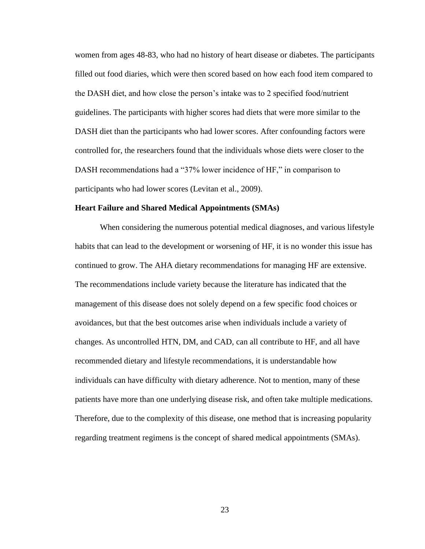women from ages 48-83, who had no history of heart disease or diabetes. The participants filled out food diaries, which were then scored based on how each food item compared to the DASH diet, and how close the person's intake was to 2 specified food/nutrient guidelines. The participants with higher scores had diets that were more similar to the DASH diet than the participants who had lower scores. After confounding factors were controlled for, the researchers found that the individuals whose diets were closer to the DASH recommendations had a "37% lower incidence of HF," in comparison to participants who had lower scores (Levitan et al., 2009).

#### **Heart Failure and Shared Medical Appointments (SMAs)**

When considering the numerous potential medical diagnoses, and various lifestyle habits that can lead to the development or worsening of HF, it is no wonder this issue has continued to grow. The AHA dietary recommendations for managing HF are extensive. The recommendations include variety because the literature has indicated that the management of this disease does not solely depend on a few specific food choices or avoidances, but that the best outcomes arise when individuals include a variety of changes. As uncontrolled HTN, DM, and CAD, can all contribute to HF, and all have recommended dietary and lifestyle recommendations, it is understandable how individuals can have difficulty with dietary adherence. Not to mention, many of these patients have more than one underlying disease risk, and often take multiple medications. Therefore, due to the complexity of this disease, one method that is increasing popularity regarding treatment regimens is the concept of shared medical appointments (SMAs).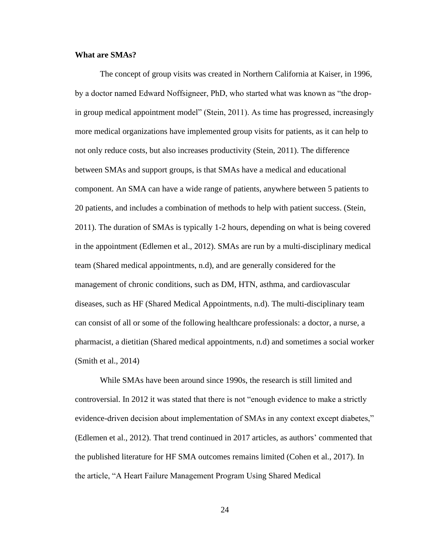#### **What are SMAs?**

The concept of group visits was created in Northern California at Kaiser, in 1996, by a doctor named Edward Noffsigneer, PhD, who started what was known as "the dropin group medical appointment model" (Stein, 2011). As time has progressed, increasingly more medical organizations have implemented group visits for patients, as it can help to not only reduce costs, but also increases productivity (Stein, 2011). The difference between SMAs and support groups, is that SMAs have a medical and educational component. An SMA can have a wide range of patients, anywhere between 5 patients to 20 patients, and includes a combination of methods to help with patient success. (Stein, 2011). The duration of SMAs is typically 1-2 hours, depending on what is being covered in the appointment (Edlemen et al., 2012). SMAs are run by a multi-disciplinary medical team (Shared medical appointments, n.d), and are generally considered for the management of chronic conditions, such as DM, HTN, asthma, and cardiovascular diseases, such as HF (Shared Medical Appointments, n.d). The multi-disciplinary team can consist of all or some of the following healthcare professionals: a doctor, a nurse, a pharmacist, a dietitian (Shared medical appointments, n.d) and sometimes a social worker (Smith et al., 2014)

While SMAs have been around since 1990s, the research is still limited and controversial. In 2012 it was stated that there is not "enough evidence to make a strictly evidence-driven decision about implementation of SMAs in any context except diabetes," (Edlemen et al., 2012). That trend continued in 2017 articles, as authors' commented that the published literature for HF SMA outcomes remains limited (Cohen et al., 2017). In the article, "A Heart Failure Management Program Using Shared Medical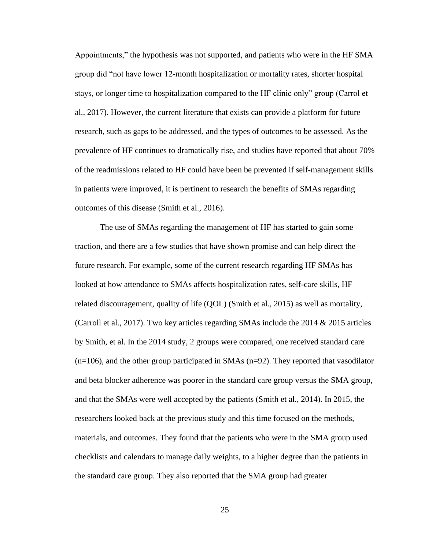Appointments," the hypothesis was not supported, and patients who were in the HF SMA group did "not have lower 12-month hospitalization or mortality rates, shorter hospital stays, or longer time to hospitalization compared to the HF clinic only" group (Carrol et al., 2017). However, the current literature that exists can provide a platform for future research, such as gaps to be addressed, and the types of outcomes to be assessed. As the prevalence of HF continues to dramatically rise, and studies have reported that about 70% of the readmissions related to HF could have been be prevented if self-management skills in patients were improved, it is pertinent to research the benefits of SMAs regarding outcomes of this disease (Smith et al., 2016).

The use of SMAs regarding the management of HF has started to gain some traction, and there are a few studies that have shown promise and can help direct the future research. For example, some of the current research regarding HF SMAs has looked at how attendance to SMAs affects hospitalization rates, self-care skills, HF related discouragement, quality of life (QOL) (Smith et al., 2015) as well as mortality, (Carroll et al., 2017). Two key articles regarding SMAs include the 2014 & 2015 articles by Smith, et al. In the 2014 study, 2 groups were compared, one received standard care  $(n=106)$ , and the other group participated in SMAs  $(n=92)$ . They reported that vasodilator and beta blocker adherence was poorer in the standard care group versus the SMA group, and that the SMAs were well accepted by the patients (Smith et al., 2014). In 2015, the researchers looked back at the previous study and this time focused on the methods, materials, and outcomes. They found that the patients who were in the SMA group used checklists and calendars to manage daily weights, to a higher degree than the patients in the standard care group. They also reported that the SMA group had greater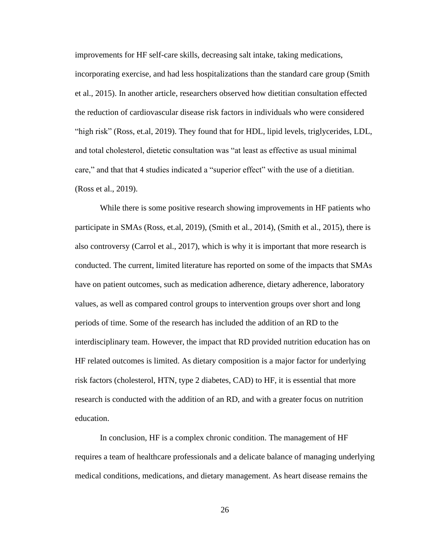improvements for HF self-care skills, decreasing salt intake, taking medications, incorporating exercise, and had less hospitalizations than the standard care group (Smith et al., 2015). In another article, researchers observed how dietitian consultation effected the reduction of cardiovascular disease risk factors in individuals who were considered "high risk" (Ross, et.al, 2019). They found that for HDL, lipid levels, triglycerides, LDL, and total cholesterol, dietetic consultation was "at least as effective as usual minimal care," and that that 4 studies indicated a "superior effect" with the use of a dietitian. (Ross et al., 2019).

While there is some positive research showing improvements in HF patients who participate in SMAs (Ross, et.al, 2019), (Smith et al., 2014), (Smith et al., 2015), there is also controversy (Carrol et al., 2017), which is why it is important that more research is conducted. The current, limited literature has reported on some of the impacts that SMAs have on patient outcomes, such as medication adherence, dietary adherence, laboratory values, as well as compared control groups to intervention groups over short and long periods of time. Some of the research has included the addition of an RD to the interdisciplinary team. However, the impact that RD provided nutrition education has on HF related outcomes is limited. As dietary composition is a major factor for underlying risk factors (cholesterol, HTN, type 2 diabetes, CAD) to HF, it is essential that more research is conducted with the addition of an RD, and with a greater focus on nutrition education.

In conclusion, HF is a complex chronic condition. The management of HF requires a team of healthcare professionals and a delicate balance of managing underlying medical conditions, medications, and dietary management. As heart disease remains the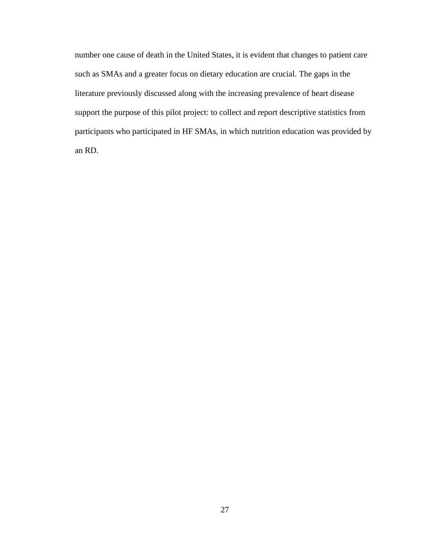number one cause of death in the United States, it is evident that changes to patient care such as SMAs and a greater focus on dietary education are crucial. The gaps in the literature previously discussed along with the increasing prevalence of heart disease support the purpose of this pilot project: to collect and report descriptive statistics from participants who participated in HF SMAs, in which nutrition education was provided by an RD.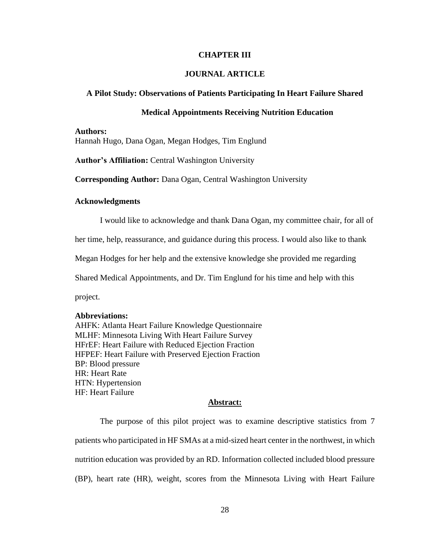#### **CHAPTER III**

#### **JOURNAL ARTICLE**

#### **A Pilot Study: Observations of Patients Participating In Heart Failure Shared**

#### **Medical Appointments Receiving Nutrition Education**

#### **Authors:**

Hannah Hugo, Dana Ogan, Megan Hodges, Tim Englund

**Author's Affiliation:** Central Washington University

**Corresponding Author:** Dana Ogan, Central Washington University

#### **Acknowledgments**

I would like to acknowledge and thank Dana Ogan, my committee chair, for all of

her time, help, reassurance, and guidance during this process. I would also like to thank

Megan Hodges for her help and the extensive knowledge she provided me regarding

Shared Medical Appointments, and Dr. Tim Englund for his time and help with this

project.

#### **Abbreviations:**

AHFK: Atlanta Heart Failure Knowledge Questionnaire MLHF: Minnesota Living With Heart Failure Survey HFrEF: Heart Failure with Reduced Ejection Fraction HFPEF: Heart Failure with Preserved Ejection Fraction BP: Blood pressure HR: Heart Rate HTN: Hypertension HF: Heart Failure

#### **Abstract:**

The purpose of this pilot project was to examine descriptive statistics from 7 patients who participated in HF SMAs at a mid-sized heart center in the northwest, in which nutrition education was provided by an RD. Information collected included blood pressure (BP), heart rate (HR), weight, scores from the Minnesota Living with Heart Failure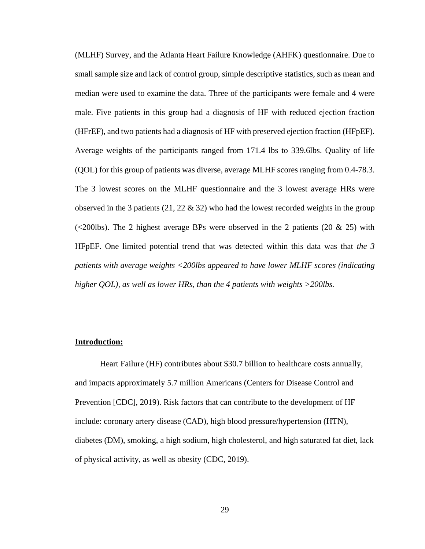(MLHF) Survey, and the Atlanta Heart Failure Knowledge (AHFK) questionnaire. Due to small sample size and lack of control group, simple descriptive statistics, such as mean and median were used to examine the data. Three of the participants were female and 4 were male. Five patients in this group had a diagnosis of HF with reduced ejection fraction (HFrEF), and two patients had a diagnosis of HF with preserved ejection fraction (HFpEF). Average weights of the participants ranged from 171.4 lbs to 339.6lbs. Quality of life (QOL) for this group of patients was diverse, average MLHF scores ranging from 0.4-78.3. The 3 lowest scores on the MLHF questionnaire and the 3 lowest average HRs were observed in the 3 patients  $(21, 22 \& 32)$  who had the lowest recorded weights in the group (<200lbs). The 2 highest average BPs were observed in the 2 patients (20  $\&$  25) with HFpEF. One limited potential trend that was detected within this data was that *the 3 patients with average weights <200lbs appeared to have lower MLHF scores (indicating higher QOL), as well as lower HRs, than the 4 patients with weights >200lbs.*

#### **Introduction:**

Heart Failure (HF) contributes about \$30.7 billion to healthcare costs annually, and impacts approximately 5.7 million Americans (Centers for Disease Control and Prevention [CDC], 2019). Risk factors that can contribute to the development of HF include: coronary artery disease (CAD), high blood pressure/hypertension (HTN), diabetes (DM), smoking, a high sodium, high cholesterol, and high saturated fat diet, lack of physical activity, as well as obesity (CDC, 2019).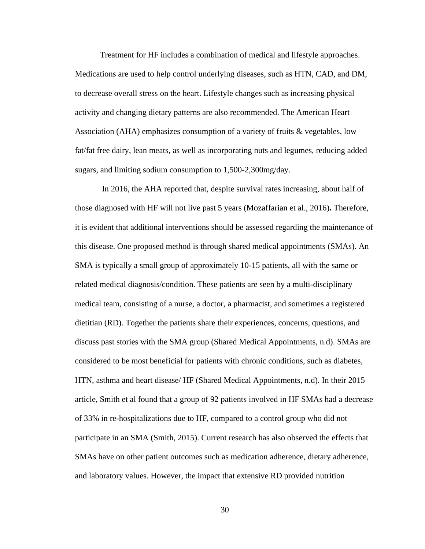Treatment for HF includes a combination of medical and lifestyle approaches. Medications are used to help control underlying diseases, such as HTN, CAD, and DM, to decrease overall stress on the heart. Lifestyle changes such as increasing physical activity and changing dietary patterns are also recommended. The American Heart Association (AHA) emphasizes consumption of a variety of fruits & vegetables, low fat/fat free dairy, lean meats, as well as incorporating nuts and legumes, reducing added sugars, and limiting sodium consumption to 1,500-2,300mg/day.

In 2016, the AHA reported that, despite survival rates increasing, about half of those diagnosed with HF will not live past 5 years (Mozaffarian et al., 2016)**.** Therefore, it is evident that additional interventions should be assessed regarding the maintenance of this disease. One proposed method is through shared medical appointments (SMAs). An SMA is typically a small group of approximately 10-15 patients, all with the same or related medical diagnosis/condition. These patients are seen by a multi-disciplinary medical team, consisting of a nurse, a doctor, a pharmacist, and sometimes a registered dietitian (RD). Together the patients share their experiences, concerns, questions, and discuss past stories with the SMA group (Shared Medical Appointments, n.d). SMAs are considered to be most beneficial for patients with chronic conditions, such as diabetes, HTN, asthma and heart disease/ HF (Shared Medical Appointments, n.d). In their 2015 article, Smith et al found that a group of 92 patients involved in HF SMAs had a decrease of 33% in re-hospitalizations due to HF, compared to a control group who did not participate in an SMA (Smith, 2015). Current research has also observed the effects that SMAs have on other patient outcomes such as medication adherence, dietary adherence, and laboratory values. However, the impact that extensive RD provided nutrition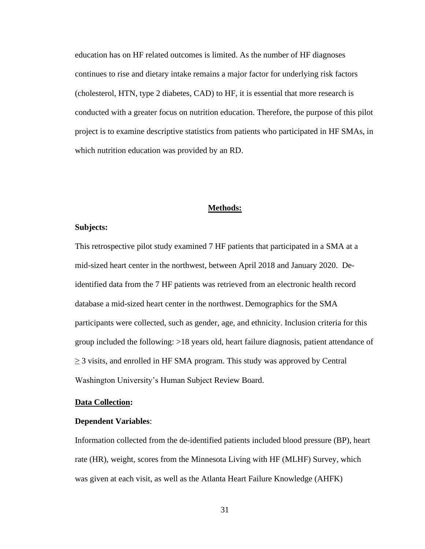education has on HF related outcomes is limited. As the number of HF diagnoses continues to rise and dietary intake remains a major factor for underlying risk factors (cholesterol, HTN, type 2 diabetes, CAD) to HF, it is essential that more research is conducted with a greater focus on nutrition education. Therefore, the purpose of this pilot project is to examine descriptive statistics from patients who participated in HF SMAs, in which nutrition education was provided by an RD.

#### **Methods:**

#### **Subjects:**

This retrospective pilot study examined 7 HF patients that participated in a SMA at a mid-sized heart center in the northwest, between April 2018 and January 2020. Deidentified data from the 7 HF patients was retrieved from an electronic health record database a mid-sized heart center in the northwest. Demographics for the SMA participants were collected, such as gender, age, and ethnicity. Inclusion criteria for this group included the following: >18 years old, heart failure diagnosis, patient attendance of  $\geq$  3 visits, and enrolled in HF SMA program. This study was approved by Central Washington University's Human Subject Review Board.

#### **Data Collection:**

#### **Dependent Variables**:

Information collected from the de-identified patients included blood pressure (BP), heart rate (HR), weight, scores from the Minnesota Living with HF (MLHF) Survey, which was given at each visit, as well as the Atlanta Heart Failure Knowledge (AHFK)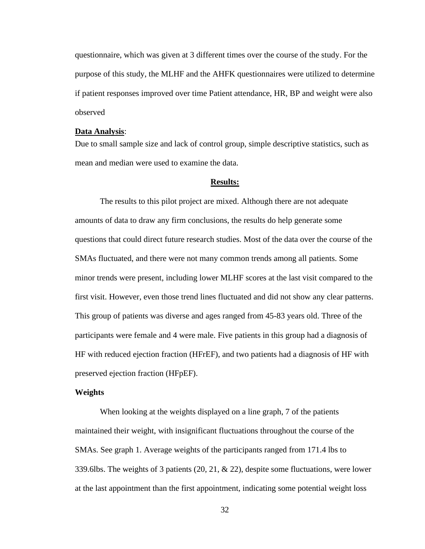questionnaire, which was given at 3 different times over the course of the study. For the purpose of this study, the MLHF and the AHFK questionnaires were utilized to determine if patient responses improved over time Patient attendance, HR, BP and weight were also observed

#### **Data Analysis**:

Due to small sample size and lack of control group, simple descriptive statistics, such as mean and median were used to examine the data.

#### **Results:**

The results to this pilot project are mixed. Although there are not adequate amounts of data to draw any firm conclusions, the results do help generate some questions that could direct future research studies. Most of the data over the course of the SMAs fluctuated, and there were not many common trends among all patients. Some minor trends were present, including lower MLHF scores at the last visit compared to the first visit. However, even those trend lines fluctuated and did not show any clear patterns. This group of patients was diverse and ages ranged from 45-83 years old. Three of the participants were female and 4 were male. Five patients in this group had a diagnosis of HF with reduced ejection fraction (HFrEF), and two patients had a diagnosis of HF with preserved ejection fraction (HFpEF).

#### **Weights**

When looking at the weights displayed on a line graph, 7 of the patients maintained their weight, with insignificant fluctuations throughout the course of the SMAs. See graph 1. Average weights of the participants ranged from 171.4 lbs to 339.6lbs. The weights of 3 patients (20, 21, & 22), despite some fluctuations, were lower at the last appointment than the first appointment, indicating some potential weight loss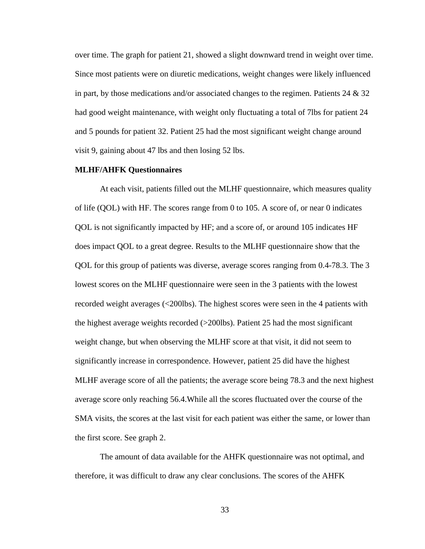over time. The graph for patient 21, showed a slight downward trend in weight over time. Since most patients were on diuretic medications, weight changes were likely influenced in part, by those medications and/or associated changes to the regimen. Patients 24  $\&$  32 had good weight maintenance, with weight only fluctuating a total of 7lbs for patient 24 and 5 pounds for patient 32. Patient 25 had the most significant weight change around visit 9, gaining about 47 lbs and then losing 52 lbs.

#### **MLHF/AHFK Questionnaires**

At each visit, patients filled out the MLHF questionnaire, which measures quality of life (QOL) with HF. The scores range from 0 to 105. A score of, or near 0 indicates QOL is not significantly impacted by HF; and a score of, or around 105 indicates HF does impact QOL to a great degree. Results to the MLHF questionnaire show that the QOL for this group of patients was diverse, average scores ranging from 0.4-78.3. The 3 lowest scores on the MLHF questionnaire were seen in the 3 patients with the lowest recorded weight averages (<200lbs). The highest scores were seen in the 4 patients with the highest average weights recorded (>200lbs). Patient 25 had the most significant weight change, but when observing the MLHF score at that visit, it did not seem to significantly increase in correspondence. However, patient 25 did have the highest MLHF average score of all the patients; the average score being 78.3 and the next highest average score only reaching 56.4.While all the scores fluctuated over the course of the SMA visits, the scores at the last visit for each patient was either the same, or lower than the first score. See graph 2.

The amount of data available for the AHFK questionnaire was not optimal, and therefore, it was difficult to draw any clear conclusions. The scores of the AHFK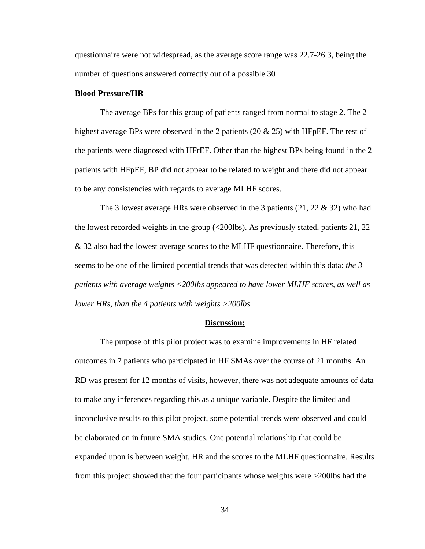questionnaire were not widespread, as the average score range was 22.7-26.3, being the number of questions answered correctly out of a possible 30

#### **Blood Pressure/HR**

The average BPs for this group of patients ranged from normal to stage 2. The 2 highest average BPs were observed in the 2 patients (20  $\&$  25) with HFpEF. The rest of the patients were diagnosed with HFrEF. Other than the highest BPs being found in the 2 patients with HFpEF, BP did not appear to be related to weight and there did not appear to be any consistencies with regards to average MLHF scores.

The 3 lowest average HRs were observed in the 3 patients  $(21, 22 \& 32)$  who had the lowest recorded weights in the group (<200lbs). As previously stated, patients 21, 22 & 32 also had the lowest average scores to the MLHF questionnaire. Therefore, this seems to be one of the limited potential trends that was detected within this data: *the 3 patients with average weights <200lbs appeared to have lower MLHF scores, as well as lower HRs, than the 4 patients with weights >200lbs.* 

#### **Discussion:**

The purpose of this pilot project was to examine improvements in HF related outcomes in 7 patients who participated in HF SMAs over the course of 21 months. An RD was present for 12 months of visits, however, there was not adequate amounts of data to make any inferences regarding this as a unique variable. Despite the limited and inconclusive results to this pilot project, some potential trends were observed and could be elaborated on in future SMA studies. One potential relationship that could be expanded upon is between weight, HR and the scores to the MLHF questionnaire. Results from this project showed that the four participants whose weights were >200lbs had the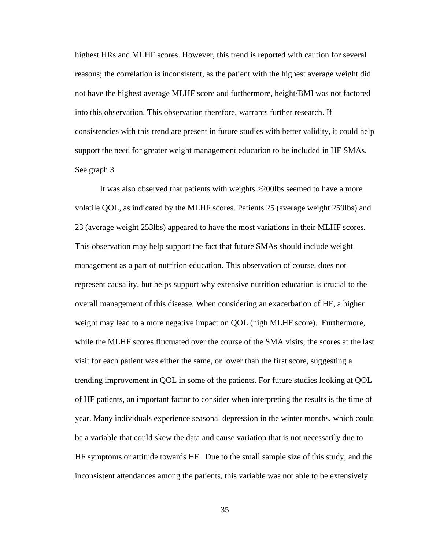highest HRs and MLHF scores. However, this trend is reported with caution for several reasons; the correlation is inconsistent, as the patient with the highest average weight did not have the highest average MLHF score and furthermore, height/BMI was not factored into this observation. This observation therefore, warrants further research. If consistencies with this trend are present in future studies with better validity, it could help support the need for greater weight management education to be included in HF SMAs. See graph 3.

It was also observed that patients with weights >200lbs seemed to have a more volatile QOL, as indicated by the MLHF scores. Patients 25 (average weight 259lbs) and 23 (average weight 253lbs) appeared to have the most variations in their MLHF scores. This observation may help support the fact that future SMAs should include weight management as a part of nutrition education. This observation of course, does not represent causality, but helps support why extensive nutrition education is crucial to the overall management of this disease. When considering an exacerbation of HF, a higher weight may lead to a more negative impact on QOL (high MLHF score). Furthermore, while the MLHF scores fluctuated over the course of the SMA visits, the scores at the last visit for each patient was either the same, or lower than the first score, suggesting a trending improvement in QOL in some of the patients. For future studies looking at QOL of HF patients, an important factor to consider when interpreting the results is the time of year. Many individuals experience seasonal depression in the winter months, which could be a variable that could skew the data and cause variation that is not necessarily due to HF symptoms or attitude towards HF. Due to the small sample size of this study, and the inconsistent attendances among the patients, this variable was not able to be extensively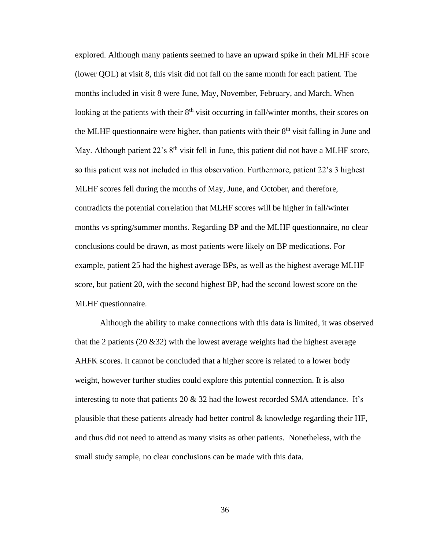explored. Although many patients seemed to have an upward spike in their MLHF score (lower QOL) at visit 8, this visit did not fall on the same month for each patient. The months included in visit 8 were June, May, November, February, and March. When looking at the patients with their  $8<sup>th</sup>$  visit occurring in fall/winter months, their scores on the MLHF questionnaire were higher, than patients with their  $8<sup>th</sup>$  visit falling in June and May. Although patient  $22$ 's  $8<sup>th</sup>$  visit fell in June, this patient did not have a MLHF score, so this patient was not included in this observation. Furthermore, patient 22's 3 highest MLHF scores fell during the months of May, June, and October, and therefore, contradicts the potential correlation that MLHF scores will be higher in fall/winter months vs spring/summer months. Regarding BP and the MLHF questionnaire, no clear conclusions could be drawn, as most patients were likely on BP medications. For example, patient 25 had the highest average BPs, as well as the highest average MLHF score, but patient 20, with the second highest BP, had the second lowest score on the MLHF questionnaire.

Although the ability to make connections with this data is limited, it was observed that the 2 patients (20  $\&$  32) with the lowest average weights had the highest average AHFK scores. It cannot be concluded that a higher score is related to a lower body weight, however further studies could explore this potential connection. It is also interesting to note that patients 20 & 32 had the lowest recorded SMA attendance. It's plausible that these patients already had better control  $\&$  knowledge regarding their HF, and thus did not need to attend as many visits as other patients. Nonetheless, with the small study sample, no clear conclusions can be made with this data.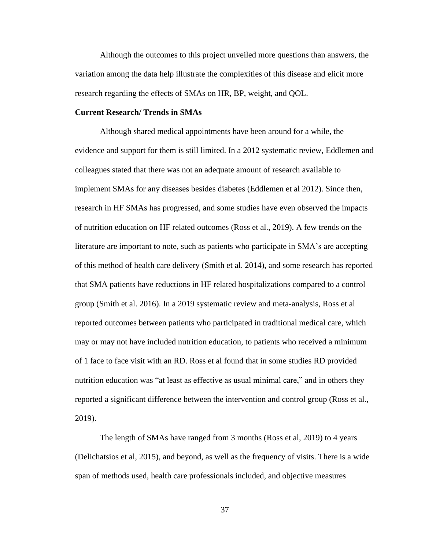Although the outcomes to this project unveiled more questions than answers, the variation among the data help illustrate the complexities of this disease and elicit more research regarding the effects of SMAs on HR, BP, weight, and QOL.

#### **Current Research/ Trends in SMAs**

Although shared medical appointments have been around for a while, the evidence and support for them is still limited. In a 2012 systematic review, Eddlemen and colleagues stated that there was not an adequate amount of research available to implement SMAs for any diseases besides diabetes (Eddlemen et al 2012). Since then, research in HF SMAs has progressed, and some studies have even observed the impacts of nutrition education on HF related outcomes (Ross et al., 2019). A few trends on the literature are important to note, such as patients who participate in SMA's are accepting of this method of health care delivery (Smith et al. 2014), and some research has reported that SMA patients have reductions in HF related hospitalizations compared to a control group (Smith et al. 2016). In a 2019 systematic review and meta-analysis, Ross et al reported outcomes between patients who participated in traditional medical care, which may or may not have included nutrition education, to patients who received a minimum of 1 face to face visit with an RD. Ross et al found that in some studies RD provided nutrition education was "at least as effective as usual minimal care," and in others they reported a significant difference between the intervention and control group (Ross et al., 2019).

The length of SMAs have ranged from 3 months (Ross et al, 2019) to 4 years (Delichatsios et al, 2015), and beyond, as well as the frequency of visits. There is a wide span of methods used, health care professionals included, and objective measures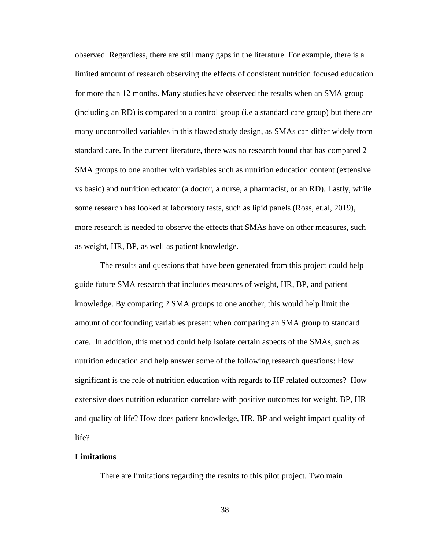observed. Regardless, there are still many gaps in the literature. For example, there is a limited amount of research observing the effects of consistent nutrition focused education for more than 12 months. Many studies have observed the results when an SMA group (including an RD) is compared to a control group (i.e a standard care group) but there are many uncontrolled variables in this flawed study design, as SMAs can differ widely from standard care. In the current literature, there was no research found that has compared 2 SMA groups to one another with variables such as nutrition education content (extensive vs basic) and nutrition educator (a doctor, a nurse, a pharmacist, or an RD). Lastly, while some research has looked at laboratory tests, such as lipid panels (Ross, et.al, 2019), more research is needed to observe the effects that SMAs have on other measures, such as weight, HR, BP, as well as patient knowledge.

The results and questions that have been generated from this project could help guide future SMA research that includes measures of weight, HR, BP, and patient knowledge. By comparing 2 SMA groups to one another, this would help limit the amount of confounding variables present when comparing an SMA group to standard care. In addition, this method could help isolate certain aspects of the SMAs, such as nutrition education and help answer some of the following research questions: How significant is the role of nutrition education with regards to HF related outcomes? How extensive does nutrition education correlate with positive outcomes for weight, BP, HR and quality of life? How does patient knowledge, HR, BP and weight impact quality of life?

#### **Limitations**

There are limitations regarding the results to this pilot project. Two main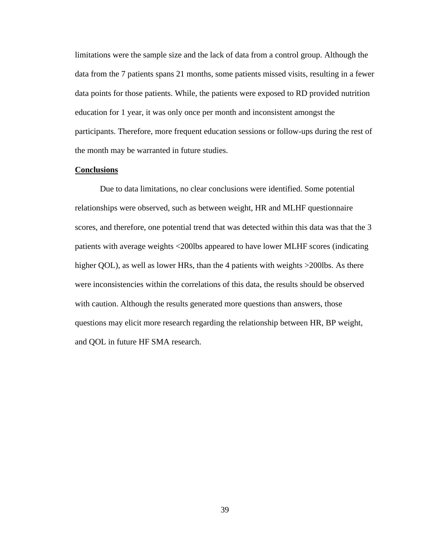limitations were the sample size and the lack of data from a control group. Although the data from the 7 patients spans 21 months, some patients missed visits, resulting in a fewer data points for those patients. While, the patients were exposed to RD provided nutrition education for 1 year, it was only once per month and inconsistent amongst the participants. Therefore, more frequent education sessions or follow-ups during the rest of the month may be warranted in future studies.

#### **Conclusions**

Due to data limitations, no clear conclusions were identified. Some potential relationships were observed, such as between weight, HR and MLHF questionnaire scores, and therefore, one potential trend that was detected within this data was that the 3 patients with average weights <200lbs appeared to have lower MLHF scores (indicating higher QOL), as well as lower HRs, than the 4 patients with weights >200lbs. As there were inconsistencies within the correlations of this data, the results should be observed with caution. Although the results generated more questions than answers, those questions may elicit more research regarding the relationship between HR, BP weight, and QOL in future HF SMA research.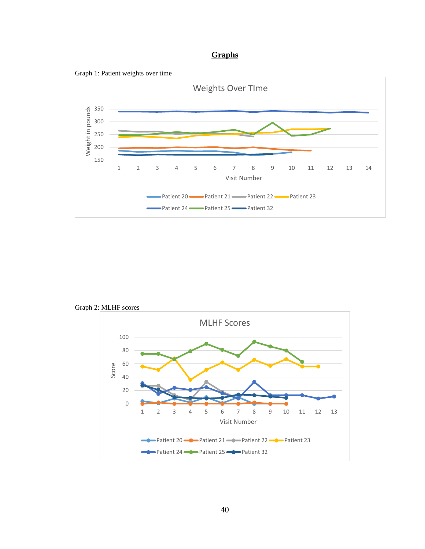## **Graphs**





Graph 2: MLHF scores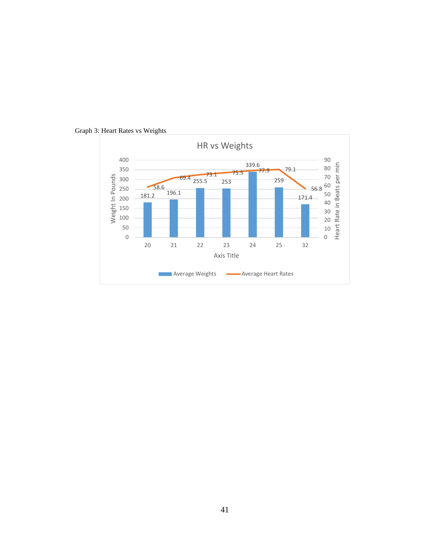

Graph 3: Heart Rates vs Weights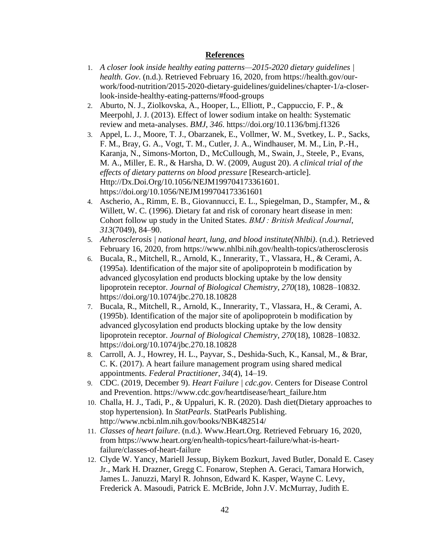#### **References**

- 1. *A closer look inside healthy eating patterns—2015-2020 dietary guidelines | health. Gov*. (n.d.). Retrieved February 16, 2020, from https://health.gov/ourwork/food-nutrition/2015-2020-dietary-guidelines/guidelines/chapter-1/a-closerlook-inside-healthy-eating-patterns/#food-groups
- 2. Aburto, N. J., Ziolkovska, A., Hooper, L., Elliott, P., Cappuccio, F. P., & Meerpohl, J. J. (2013). Effect of lower sodium intake on health: Systematic review and meta-analyses. *BMJ*, *346*. https://doi.org/10.1136/bmj.f1326
- 3. Appel, L. J., Moore, T. J., Obarzanek, E., Vollmer, W. M., Svetkey, L. P., Sacks, F. M., Bray, G. A., Vogt, T. M., Cutler, J. A., Windhauser, M. M., Lin, P.-H., Karanja, N., Simons-Morton, D., McCullough, M., Swain, J., Steele, P., Evans, M. A., Miller, E. R., & Harsha, D. W. (2009, August 20). *A clinical trial of the effects of dietary patterns on blood pressure* [Research-article]. Http://Dx.Doi.Org/10.1056/NEJM199704173361601. https://doi.org/10.1056/NEJM199704173361601
- 4. Ascherio, A., Rimm, E. B., Giovannucci, E. L., Spiegelman, D., Stampfer, M., & Willett, W. C. (1996). Dietary fat and risk of coronary heart disease in men: Cohort follow up study in the United States. *BMJ : British Medical Journal*, *313*(7049), 84–90.
- 5. *Atherosclerosis | national heart, lung, and blood institute(Nhlbi)*. (n.d.). Retrieved February 16, 2020, from https://www.nhlbi.nih.gov/health-topics/atherosclerosis
- 6. Bucala, R., Mitchell, R., Arnold, K., Innerarity, T., Vlassara, H., & Cerami, A. (1995a). Identification of the major site of apolipoprotein b modification by advanced glycosylation end products blocking uptake by the low density lipoprotein receptor. *Journal of Biological Chemistry*, *270*(18), 10828–10832. https://doi.org/10.1074/jbc.270.18.10828
- 7. Bucala, R., Mitchell, R., Arnold, K., Innerarity, T., Vlassara, H., & Cerami, A. (1995b). Identification of the major site of apolipoprotein b modification by advanced glycosylation end products blocking uptake by the low density lipoprotein receptor. *Journal of Biological Chemistry*, *270*(18), 10828–10832. https://doi.org/10.1074/jbc.270.18.10828
- 8. Carroll, A. J., Howrey, H. L., Payvar, S., Deshida-Such, K., Kansal, M., & Brar, C. K. (2017). A heart failure management program using shared medical appointments. *Federal Practitioner*, *34*(4), 14–19.
- 9. CDC. (2019, December 9). *Heart Failure | cdc.gov*. Centers for Disease Control and Prevention. https://www.cdc.gov/heartdisease/heart\_failure.htm
- 10. Challa, H. J., Tadi, P., & Uppaluri, K. R. (2020). Dash diet(Dietary approaches to stop hypertension). In *StatPearls*. StatPearls Publishing. http://www.ncbi.nlm.nih.gov/books/NBK482514/
- 11. *Classes of heart failure*. (n.d.). Www.Heart.Org. Retrieved February 16, 2020, from https://www.heart.org/en/health-topics/heart-failure/what-is-heartfailure/classes-of-heart-failure
- 12. Clyde W. Yancy, Mariell Jessup, Biykem Bozkurt, Javed Butler, Donald E. Casey Jr., Mark H. Drazner, Gregg C. Fonarow, Stephen A. Geraci, Tamara Horwich, James L. Januzzi, Maryl R. Johnson, Edward K. Kasper, Wayne C. Levy, Frederick A. Masoudi, Patrick E. McBride, John J.V. McMurray, Judith E.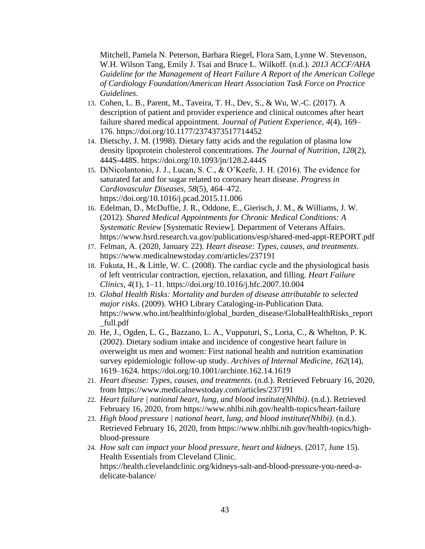Mitchell, Pamela N. Peterson, Barbara Riegel, Flora Sam, Lynne W. Stevenson, W.H. Wilson Tang, Emily J. Tsai and Bruce L. Wilkoff. (n.d.). *2013 ACCF/AHA Guideline for the Management of Heart Failure A Report of the American College of Cardiology Foundation/American Heart Association Task Force on Practice Guidelines*.

- 13. Cohen, L. B., Parent, M., Taveira, T. H., Dev, S., & Wu, W.-C. (2017). A description of patient and provider experience and clinical outcomes after heart failure shared medical appointment. *Journal of Patient Experience*, *4*(4), 169– 176. https://doi.org/10.1177/2374373517714452
- 14. Dietschy, J. M. (1998). Dietary fatty acids and the regulation of plasma low density lipoprotein cholesterol concentrations. *The Journal of Nutrition*, *128*(2), 444S-448S. https://doi.org/10.1093/jn/128.2.444S
- 15. DiNicolantonio, J. J., Lucan, S. C., & O'Keefe, J. H. (2016). The evidence for saturated fat and for sugar related to coronary heart disease. *Progress in Cardiovascular Diseases*, *58*(5), 464–472. https://doi.org/10.1016/j.pcad.2015.11.006
- 16. Edelman, D., McDuffie, J. R., Oddone, E., Gierisch, J. M., & Williams, J. W. (2012). *Shared Medical Appointments for Chronic Medical Conditions: A Systematic Review* [Systematic Review]. Department of Veterans Affairs. https://www.hsrd.research.va.gov/publications/esp/shared-med-appt-REPORT.pdf
- 17. Felman, A. (2020, January 22). *Heart disease: Types, causes, and treatments*. https://www.medicalnewstoday.com/articles/237191
- 18. Fukuta, H., & Little, W. C. (2008). The cardiac cycle and the physiological basis of left ventricular contraction, ejection, relaxation, and filling. *Heart Failure Clinics*, *4*(1), 1–11. https://doi.org/10.1016/j.hfc.2007.10.004
- 19. *Global Health Risks: Mortality and burden of disease attributable to selected major risks*. (2009). WHO Library Cataloging-in-Publication Data. https://www.who.int/healthinfo/global\_burden\_disease/GlobalHealthRisks\_report \_full.pdf
- 20. He, J., Ogden, L. G., Bazzano, L. A., Vupputuri, S., Loria, C., & Whelton, P. K. (2002). Dietary sodium intake and incidence of congestive heart failure in overweight us men and women: First national health and nutrition examination survey epidemiologic follow-up study. *Archives of Internal Medicine*, *162*(14), 1619–1624. https://doi.org/10.1001/archinte.162.14.1619
- 21. *Heart disease: Types, causes, and treatments*. (n.d.). Retrieved February 16, 2020, from https://www.medicalnewstoday.com/articles/237191
- 22. *Heart failure | national heart, lung, and blood institute(Nhlbi)*. (n.d.). Retrieved February 16, 2020, from https://www.nhlbi.nih.gov/health-topics/heart-failure
- 23. *High blood pressure | national heart, lung, and blood institute(Nhlbi)*. (n.d.). Retrieved February 16, 2020, from https://www.nhlbi.nih.gov/health-topics/highblood-pressure
- 24. *How salt can impact your blood pressure, heart and kidneys*. (2017, June 15). Health Essentials from Cleveland Clinic. https://health.clevelandclinic.org/kidneys-salt-and-blood-pressure-you-need-adelicate-balance/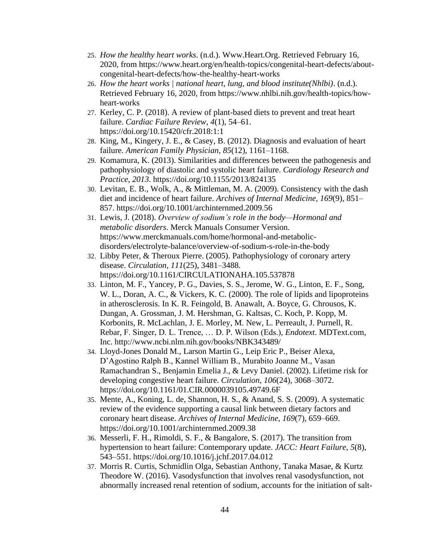- 25. *How the healthy heart works*. (n.d.). Www.Heart.Org. Retrieved February 16, 2020, from https://www.heart.org/en/health-topics/congenital-heart-defects/aboutcongenital-heart-defects/how-the-healthy-heart-works
- 26. *How the heart works | national heart, lung, and blood institute(Nhlbi)*. (n.d.). Retrieved February 16, 2020, from https://www.nhlbi.nih.gov/health-topics/howheart-works
- 27. Kerley, C. P. (2018). A review of plant-based diets to prevent and treat heart failure. *Cardiac Failure Review*, *4*(1), 54–61. https://doi.org/10.15420/cfr.2018:1:1
- 28. King, M., Kingery, J. E., & Casey, B. (2012). Diagnosis and evaluation of heart failure. *American Family Physician*, *85*(12), 1161–1168.
- 29. Komamura, K. (2013). Similarities and differences between the pathogenesis and pathophysiology of diastolic and systolic heart failure. *Cardiology Research and Practice*, *2013*. https://doi.org/10.1155/2013/824135
- 30. Levitan, E. B., Wolk, A., & Mittleman, M. A. (2009). Consistency with the dash diet and incidence of heart failure. *Archives of Internal Medicine*, *169*(9), 851– 857. https://doi.org/10.1001/archinternmed.2009.56
- 31. Lewis, J. (2018). *Overview of sodium's role in the body—Hormonal and metabolic disorders*. Merck Manuals Consumer Version. https://www.merckmanuals.com/home/hormonal-and-metabolicdisorders/electrolyte-balance/overview-of-sodium-s-role-in-the-body
- 32. Libby Peter, & Theroux Pierre. (2005). Pathophysiology of coronary artery disease. *Circulation*, *111*(25), 3481–3488. https://doi.org/10.1161/CIRCULATIONAHA.105.537878
- 33. Linton, M. F., Yancey, P. G., Davies, S. S., Jerome, W. G., Linton, E. F., Song, W. L., Doran, A. C., & Vickers, K. C. (2000). The role of lipids and lipoproteins in atherosclerosis. In K. R. Feingold, B. Anawalt, A. Boyce, G. Chrousos, K. Dungan, A. Grossman, J. M. Hershman, G. Kaltsas, C. Koch, P. Kopp, M. Korbonits, R. McLachlan, J. E. Morley, M. New, L. Perreault, J. Purnell, R. Rebar, F. Singer, D. L. Trence, … D. P. Wilson (Eds.), *Endotext*. MDText.com, Inc. http://www.ncbi.nlm.nih.gov/books/NBK343489/
- 34. Lloyd-Jones Donald M., Larson Martin G., Leip Eric P., Beiser Alexa, D'Agostino Ralph B., Kannel William B., Murabito Joanne M., Vasan Ramachandran S., Benjamin Emelia J., & Levy Daniel. (2002). Lifetime risk for developing congestive heart failure. *Circulation*, *106*(24), 3068–3072. https://doi.org/10.1161/01.CIR.0000039105.49749.6F
- 35. Mente, A., Koning, L. de, Shannon, H. S., & Anand, S. S. (2009). A systematic review of the evidence supporting a causal link between dietary factors and coronary heart disease. *Archives of Internal Medicine*, *169*(7), 659–669. https://doi.org/10.1001/archinternmed.2009.38
- 36. Messerli, F. H., Rimoldi, S. F., & Bangalore, S. (2017). The transition from hypertension to heart failure: Contemporary update. *JACC: Heart Failure*, *5*(8), 543–551. https://doi.org/10.1016/j.jchf.2017.04.012
- 37. Morris R. Curtis, Schmidlin Olga, Sebastian Anthony, Tanaka Masae, & Kurtz Theodore W. (2016). Vasodysfunction that involves renal vasodysfunction, not abnormally increased renal retention of sodium, accounts for the initiation of salt-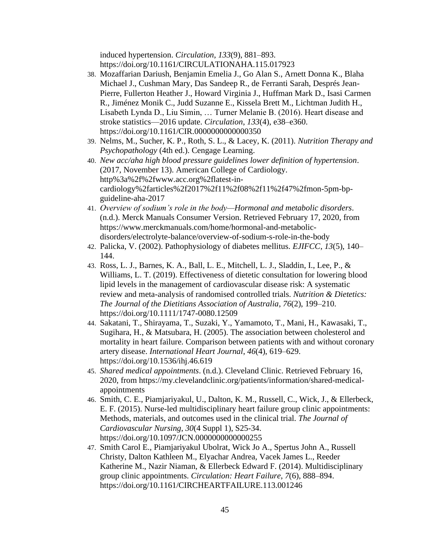induced hypertension. *Circulation*, *133*(9), 881–893. https://doi.org/10.1161/CIRCULATIONAHA.115.017923

- 38. Mozaffarian Dariush, Benjamin Emelia J., Go Alan S., Arnett Donna K., Blaha Michael J., Cushman Mary, Das Sandeep R., de Ferranti Sarah, Després Jean-Pierre, Fullerton Heather J., Howard Virginia J., Huffman Mark D., Isasi Carmen R., Jiménez Monik C., Judd Suzanne E., Kissela Brett M., Lichtman Judith H., Lisabeth Lynda D., Liu Simin, … Turner Melanie B. (2016). Heart disease and stroke statistics—2016 update. *Circulation*, *133*(4), e38–e360. https://doi.org/10.1161/CIR.0000000000000350
- 39. Nelms, M., Sucher, K. P., Roth, S. L., & Lacey, K. (2011). *Nutrition Therapy and Psychopathology* (4th ed.). Cengage Learning.
- 40. *New acc/aha high blood pressure guidelines lower definition of hypertension*. (2017, November 13). American College of Cardiology. http%3a%2f%2fwww.acc.org%2flatest-incardiology%2farticles%2f2017%2f11%2f08%2f11%2f47%2fmon-5pm-bpguideline-aha-2017
- 41. *Overview of sodium's role in the body—Hormonal and metabolic disorders*. (n.d.). Merck Manuals Consumer Version. Retrieved February 17, 2020, from https://www.merckmanuals.com/home/hormonal-and-metabolicdisorders/electrolyte-balance/overview-of-sodium-s-role-in-the-body
- 42. Palicka, V. (2002). Pathophysiology of diabetes mellitus. *EJIFCC*, *13*(5), 140– 144.
- 43. Ross, L. J., Barnes, K. A., Ball, L. E., Mitchell, L. J., Sladdin, I., Lee, P., & Williams, L. T. (2019). Effectiveness of dietetic consultation for lowering blood lipid levels in the management of cardiovascular disease risk: A systematic review and meta-analysis of randomised controlled trials. *Nutrition & Dietetics: The Journal of the Dietitians Association of Australia*, *76*(2), 199–210. https://doi.org/10.1111/1747-0080.12509
- 44. Sakatani, T., Shirayama, T., Suzaki, Y., Yamamoto, T., Mani, H., Kawasaki, T., Sugihara, H., & Matsubara, H. (2005). The association between cholesterol and mortality in heart failure. Comparison between patients with and without coronary artery disease. *International Heart Journal*, *46*(4), 619–629. https://doi.org/10.1536/ihj.46.619
- 45. *Shared medical appointments*. (n.d.). Cleveland Clinic. Retrieved February 16, 2020, from https://my.clevelandclinic.org/patients/information/shared-medicalappointments
- 46. Smith, C. E., Piamjariyakul, U., Dalton, K. M., Russell, C., Wick, J., & Ellerbeck, E. F. (2015). Nurse-led multidisciplinary heart failure group clinic appointments: Methods, materials, and outcomes used in the clinical trial. *The Journal of Cardiovascular Nursing*, *30*(4 Suppl 1), S25-34. https://doi.org/10.1097/JCN.0000000000000255
- 47. Smith Carol E., Piamjariyakul Ubolrat, Wick Jo A., Spertus John A., Russell Christy, Dalton Kathleen M., Elyachar Andrea, Vacek James L., Reeder Katherine M., Nazir Niaman, & Ellerbeck Edward F. (2014). Multidisciplinary group clinic appointments. *Circulation: Heart Failure*, *7*(6), 888–894. https://doi.org/10.1161/CIRCHEARTFAILURE.113.001246